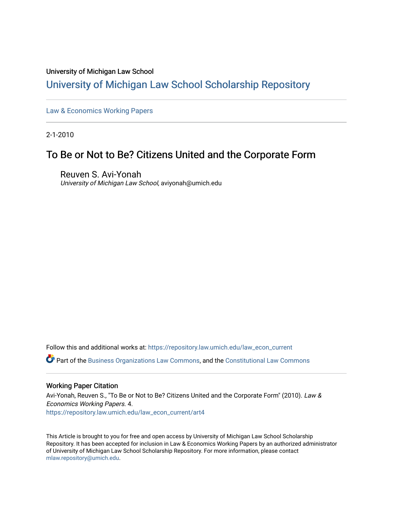#### University of Michigan Law School

# [University of Michigan Law School Scholarship Repository](https://repository.law.umich.edu/)

[Law & Economics Working Papers](https://repository.law.umich.edu/law_econ_current)

2-1-2010

# To Be or Not to Be? Citizens United and the Corporate Form

Reuven S. Avi-Yonah University of Michigan Law School, aviyonah@umich.edu

Follow this and additional works at: [https://repository.law.umich.edu/law\\_econ\\_current](https://repository.law.umich.edu/law_econ_current?utm_source=repository.law.umich.edu%2Flaw_econ_current%2Fart4&utm_medium=PDF&utm_campaign=PDFCoverPages) 

Part of the [Business Organizations Law Commons](http://network.bepress.com/hgg/discipline/900?utm_source=repository.law.umich.edu%2Flaw_econ_current%2Fart4&utm_medium=PDF&utm_campaign=PDFCoverPages), and the [Constitutional Law Commons](http://network.bepress.com/hgg/discipline/589?utm_source=repository.law.umich.edu%2Flaw_econ_current%2Fart4&utm_medium=PDF&utm_campaign=PDFCoverPages) 

#### Working Paper Citation

Avi-Yonah, Reuven S., "To Be or Not to Be? Citizens United and the Corporate Form" (2010). Law & Economics Working Papers. 4. [https://repository.law.umich.edu/law\\_econ\\_current/art4](https://repository.law.umich.edu/law_econ_current/art4?utm_source=repository.law.umich.edu%2Flaw_econ_current%2Fart4&utm_medium=PDF&utm_campaign=PDFCoverPages) 

This Article is brought to you for free and open access by University of Michigan Law School Scholarship Repository. It has been accepted for inclusion in Law & Economics Working Papers by an authorized administrator of University of Michigan Law School Scholarship Repository. For more information, please contact [mlaw.repository@umich.edu.](mailto:mlaw.repository@umich.edu)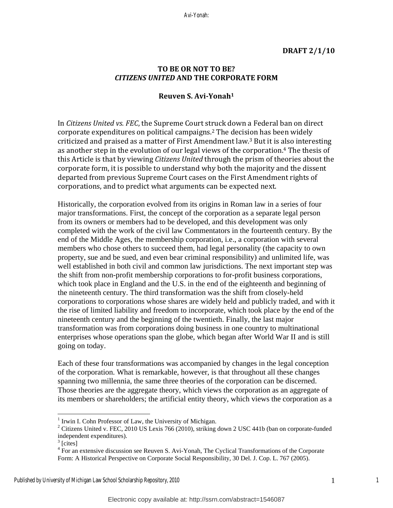#### **DRAFT 2/1/10**

#### **TO BE OR NOT TO BE?** *CITIZENS UNITED* **AND THE CORPORATE FORM**

### **Reuven S. AviYonah1**

In *Citizens United vs. FEC*, the Supreme Court struck down a Federal ban on direct corporate expenditures on political campaigns.2 The decision has been widely criticized and praised as a matter of First Amendment law.3 But it is also interesting as another step in the evolution of our legal views of the corporation.4 The thesis of this Article is that by viewing *Citizens United* through the prism of theories about the corporate form, it is possible to understand why both the majority and the dissent departed from previous Supreme Court cases on the First Amendment rights of corporations, and to predict what arguments can be expected next.

Historically, the corporation evolved from its origins in Roman law in a series of four major transformations. First, the concept of the corporation as a separate legal person from its owners or members had to be developed, and this development was only completed with the work of the civil law Commentators in the fourteenth century. By the end of the Middle Ages, the membership corporation, i.e., a corporation with several members who chose others to succeed them, had legal personality (the capacity to own property, sue and be sued, and even bear criminal responsibility) and unlimited life, was well established in both civil and common law jurisdictions. The next important step was the shift from non-profit membership corporations to for-profit business corporations, which took place in England and the U.S. in the end of the eighteenth and beginning of the nineteenth century. The third transformation was the shift from closely-held corporations to corporations whose shares are widely held and publicly traded, and with it the rise of limited liability and freedom to incorporate, which took place by the end of the nineteenth century and the beginning of the twentieth. Finally, the last major transformation was from corporations doing business in one country to multinational enterprises whose operations span the globe, which began after World War II and is still going on today.

Each of these four transformations was accompanied by changes in the legal conception of the corporation. What is remarkable, however, is that throughout all these changes spanning two millennia, the same three theories of the corporation can be discerned. Those theories are the aggregate theory, which views the corporation as an aggregate of its members or shareholders; the artificial entity theory, which views the corporation as a

<sup>&</sup>lt;sup>1</sup> Irwin I. Cohn Professor of Law, the University of Michigan.

<sup>&</sup>lt;sup>2</sup> Citizens United v. FEC, 2010 US Lexis 766 (2010), striking down 2 USC 441b (ban on corporate-funded independent expenditures).

 $3$  [cites]

<sup>&</sup>lt;sup>4</sup> For an extensive discussion see Reuven S. Avi-Yonah, The Cyclical Transformations of the Corporate Form: A Historical Perspective on Corporate Social Responsibility, 30 Del. J. Cop. L. 767 (2005).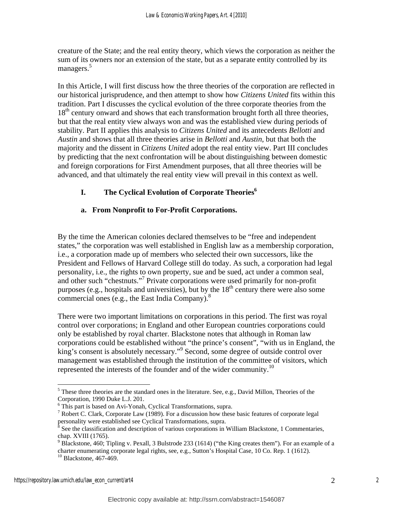creature of the State; and the real entity theory, which views the corporation as neither the sum of its owners nor an extension of the state, but as a separate entity controlled by its managers.<sup>5</sup>

In this Article, I will first discuss how the three theories of the corporation are reflected in our historical jurisprudence, and then attempt to show how *Citizens United* fits within this tradition. Part I discusses the cyclical evolution of the three corporate theories from the 18<sup>th</sup> century onward and shows that each transformation brought forth all three theories, but that the real entity view always won and was the established view during periods of stability. Part II applies this analysis to *Citizens United* and its antecedents *Bellotti* and *Austin* and shows that all three theories arise in *Bellotti* and *Austin*, but that both the majority and the dissent in *Citizens United* adopt the real entity view. Part III concludes by predicting that the next confrontation will be about distinguishing between domestic and foreign corporations for First Amendment purposes, that all three theories will be advanced, and that ultimately the real entity view will prevail in this context as well.

# **I.** The Cyclical Evolution of Corporate Theories<sup>6</sup>

## **a. From Nonprofit to For-Profit Corporations.**

By the time the American colonies declared themselves to be "free and independent states," the corporation was well established in English law as a membership corporation, i.e., a corporation made up of members who selected their own successors, like the President and Fellows of Harvard College still do today. As such, a corporation had legal personality, i.e., the rights to own property, sue and be sued, act under a common seal, and other such "chestnuts."<sup>7</sup> Private corporations were used primarily for non-profit purposes (e.g., hospitals and universities), but by the  $18<sup>th</sup>$  century there were also some commercial ones (e.g., the East India Company).8

There were two important limitations on corporations in this period. The first was royal control over corporations; in England and other European countries corporations could only be established by royal charter. Blackstone notes that although in Roman law corporations could be established without "the prince's consent", "with us in England, the king's consent is absolutely necessary."<sup>9</sup> Second, some degree of outside control over management was established through the institution of the committee of visitors, which represented the interests of the founder and of the wider community.<sup>10</sup>

2

  $<sup>5</sup>$  These three theories are the standard ones in the literature. See, e.g., David Millon, Theories of the</sup> Corporation, 1990 Duke L.J. 201.

<sup>6</sup> This part is based on Avi-Yonah, Cyclical Transformations, supra.

<sup>&</sup>lt;sup>7</sup> Robert C. Clark, Corporate Law (1989). For a discussion how these basic features of corporate legal

personality were established see Cyclical Transformations, supra.<br><sup>8</sup> See the classification and description of various corporations in William Blackstone, 1 Commentaries, chap. XVIII (1765).

<sup>&</sup>lt;sup>9</sup> Blackstone, 460; Tipling v. Pexall, 3 Bulstrode 233 (1614) ("the King creates them"). For an example of a charter enumerating corporate legal rights, see, e.g., Sutton's Hospital Case, 10 Co. Rep. 1 (1612).

<sup>&</sup>lt;sup>10</sup> Blackstone, 467-469.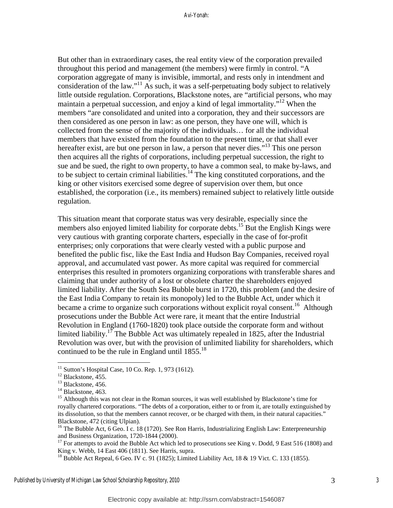But other than in extraordinary cases, the real entity view of the corporation prevailed throughout this period and management (the members) were firmly in control. "A corporation aggregate of many is invisible, immortal, and rests only in intendment and consideration of the law."<sup>11</sup> As such, it was a self-perpetuating body subject to relatively little outside regulation. Corporations, Blackstone notes, are "artificial persons, who may maintain a perpetual succession, and enjoy a kind of legal immortality."12 When the members "are consolidated and united into a corporation, they and their successors are then considered as one person in law: as one person, they have one will, which is collected from the sense of the majority of the individuals… for all the individual members that have existed from the foundation to the present time, or that shall ever hereafter exist, are but one person in law, a person that never dies."<sup>13</sup> This one person then acquires all the rights of corporations, including perpetual succession, the right to sue and be sued, the right to own property, to have a common seal, to make by-laws, and to be subject to certain criminal liabilities.<sup>14</sup> The king constituted corporations, and the king or other visitors exercised some degree of supervision over them, but once established, the corporation (i.e., its members) remained subject to relatively little outside regulation.

This situation meant that corporate status was very desirable, especially since the members also enjoyed limited liability for corporate debts.<sup>15</sup> But the English Kings were very cautious with granting corporate charters, especially in the case of for-profit enterprises; only corporations that were clearly vested with a public purpose and benefited the public fisc, like the East India and Hudson Bay Companies, received royal approval, and accumulated vast power. As more capital was required for commercial enterprises this resulted in promoters organizing corporations with transferable shares and claiming that under authority of a lost or obsolete charter the shareholders enjoyed limited liability. After the South Sea Bubble burst in 1720, this problem (and the desire of the East India Company to retain its monopoly) led to the Bubble Act, under which it became a crime to organize such corporations without explicit royal consent.<sup>16</sup> Although prosecutions under the Bubble Act were rare, it meant that the entire Industrial Revolution in England (1760-1820) took place outside the corporate form and without limited liability.<sup>17</sup> The Bubble Act was ultimately repealed in 1825, after the Industrial Revolution was over, but with the provision of unlimited liability for shareholders, which continued to be the rule in England until  $1855$ .<sup>18</sup>

<sup>16</sup> The Bubble Act, 6 Geo. I c. 18 (1720). See Ron Harris, Industrializing English Law: Enterpreneurship and Business Organization, 1720-1844 (2000).

 $17$  For attempts to avoid the Bubble Act which led to prosecutions see King v. Dodd, 9 East 516 (1808) and King v. Webb, 14 East 406 (1811). See Harris, supra.

<sup>18</sup> Bubble Act Repeal, 6 Geo. IV c. 91 (1825); Limited Liability Act, 18 & 19 Vict. C. 133 (1855).

 $11$  Sutton's Hospital Case, 10 Co. Rep. 1, 973 (1612).

<sup>&</sup>lt;sup>12</sup> Blackstone, 455.

 $13$  Blackstone, 456.

<sup>&</sup>lt;sup>14</sup> Blackstone, 463.

<sup>&</sup>lt;sup>15</sup> Although this was not clear in the Roman sources, it was well established by Blackstone's time for royally chartered corporations. "The debts of a corporation, either to or from it, are totally extinguished by its dissolution, so that the members cannot recover, or be charged with them, in their natural capacities." Blackstone, 472 (citing Ulpian).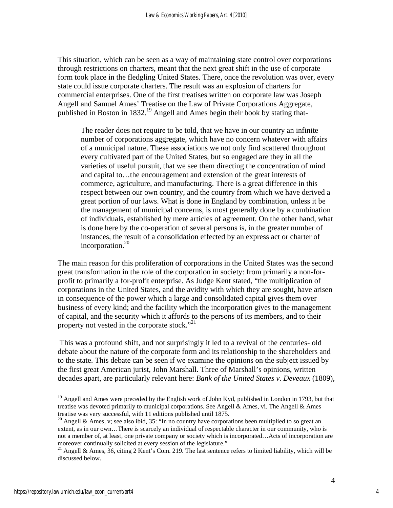This situation, which can be seen as a way of maintaining state control over corporations through restrictions on charters, meant that the next great shift in the use of corporate form took place in the fledgling United States. There, once the revolution was over, every state could issue corporate charters. The result was an explosion of charters for commercial enterprises. One of the first treatises written on corporate law was Joseph Angell and Samuel Ames' Treatise on the Law of Private Corporations Aggregate, published in Boston in 1832.<sup>19</sup> Angell and Ames begin their book by stating that-

The reader does not require to be told, that we have in our country an infinite number of corporations aggregate, which have no concern whatever with affairs of a municipal nature. These associations we not only find scattered throughout every cultivated part of the United States, but so engaged are they in all the varieties of useful pursuit, that we see them directing the concentration of mind and capital to…the encouragement and extension of the great interests of commerce, agriculture, and manufacturing. There is a great difference in this respect between our own country, and the country from which we have derived a great portion of our laws. What is done in England by combination, unless it be the management of municipal concerns, is most generally done by a combination of individuals, established by mere articles of agreement. On the other hand, what is done here by the co-operation of several persons is, in the greater number of instances, the result of a consolidation effected by an express act or charter of incorporation.<sup>20</sup>

The main reason for this proliferation of corporations in the United States was the second great transformation in the role of the corporation in society: from primarily a non-forprofit to primarily a for-profit enterprise. As Judge Kent stated, "the multiplication of corporations in the United States, and the avidity with which they are sought, have arisen in consequence of the power which a large and consolidated capital gives them over business of every kind; and the facility which the incorporation gives to the management of capital, and the security which it affords to the persons of its members, and to their property not vested in the corporate stock."<sup>21</sup>

 This was a profound shift, and not surprisingly it led to a revival of the centuries- old debate about the nature of the corporate form and its relationship to the shareholders and to the state. This debate can be seen if we examine the opinions on the subject issued by the first great American jurist, John Marshall. Three of Marshall's opinions, written decades apart, are particularly relevant here: *Bank of the United States v. Deveaux* (1809),

<sup>&</sup>lt;sup>19</sup> Angell and Ames were preceded by the English work of John Kyd, published in London in 1793, but that treatise was devoted primarily to municipal corporations. See Angell & Ames, vi. The Angell & Ames treatise was very successful, with 11 editions published until 1875.

<sup>&</sup>lt;sup>20</sup> Angell & Ames, v; see also ibid, 35: "In no country have corporations been multiplied to so great an extent, as in our own…There is scarcely an individual of respectable character in our community, who is not a member of, at least, one private company or society which is incorporated…Acts of incorporation are moreover continually solicited at every session of the legislature."

<sup>&</sup>lt;sup>21</sup> Angell & Ames, 36, citing 2 Kent's Com. 219. The last sentence refers to limited liability, which will be discussed below.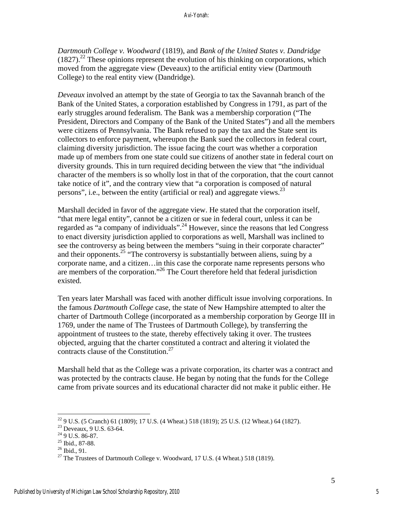*Dartmouth College v. Woodward* (1819), and *Bank of the United States v. Dandridge*  $(1827).<sup>22</sup>$  These opinions represent the evolution of his thinking on corporations, which moved from the aggregate view (Deveaux) to the artificial entity view (Dartmouth College) to the real entity view (Dandridge).

*Deveaux* involved an attempt by the state of Georgia to tax the Savannah branch of the Bank of the United States, a corporation established by Congress in 1791, as part of the early struggles around federalism. The Bank was a membership corporation ("The President, Directors and Company of the Bank of the United States") and all the members were citizens of Pennsylvania. The Bank refused to pay the tax and the State sent its collectors to enforce payment, whereupon the Bank sued the collectors in federal court, claiming diversity jurisdiction. The issue facing the court was whether a corporation made up of members from one state could sue citizens of another state in federal court on diversity grounds. This in turn required deciding between the view that "the individual character of the members is so wholly lost in that of the corporation, that the court cannot take notice of it", and the contrary view that "a corporation is composed of natural persons", i.e., between the entity (artificial or real) and aggregate views.<sup>23</sup>

Marshall decided in favor of the aggregate view. He stated that the corporation itself, "that mere legal entity", cannot be a citizen or sue in federal court, unless it can be regarded as "a company of individuals".24 However, since the reasons that led Congress to enact diversity jurisdiction applied to corporations as well, Marshall was inclined to see the controversy as being between the members "suing in their corporate character" and their opponents.<sup>25</sup> "The controversy is substantially between aliens, suing by a corporate name, and a citizen…in this case the corporate name represents persons who are members of the corporation."26 The Court therefore held that federal jurisdiction existed.

Ten years later Marshall was faced with another difficult issue involving corporations. In the famous *Dartmouth College* case, the state of New Hampshire attempted to alter the charter of Dartmouth College (incorporated as a membership corporation by George III in 1769, under the name of The Trustees of Dartmouth College), by transferring the appointment of trustees to the state, thereby effectively taking it over. The trustees objected, arguing that the charter constituted a contract and altering it violated the contracts clause of the Constitution.<sup>27</sup>

Marshall held that as the College was a private corporation, its charter was a contract and was protected by the contracts clause. He began by noting that the funds for the College came from private sources and its educational character did not make it public either. He

 $^{22}$  9 U.S. (5 Cranch) 61 (1809); 17 U.S. (4 Wheat.) 518 (1819); 25 U.S. (12 Wheat.) 64 (1827).

<sup>&</sup>lt;sup>23</sup> Deveaux, 9 U.S. 63-64.

 $24\overline{9}$  U.S. 86-87.

 $25$  Ibid., 87-88.

<sup>26</sup> Ibid., 91.

 $27$  The Trustees of Dartmouth College v. Woodward, 17 U.S. (4 Wheat.) 518 (1819).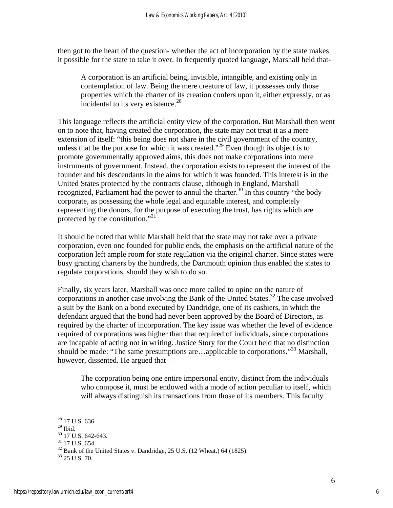then got to the heart of the question- whether the act of incorporation by the state makes it possible for the state to take it over. In frequently quoted language, Marshall held that-

A corporation is an artificial being, invisible, intangible, and existing only in contemplation of law. Being the mere creature of law, it possesses only those properties which the charter of its creation confers upon it, either expressly, or as incidental to its very existence. $^{28}$ 

This language reflects the artificial entity view of the corporation. But Marshall then went on to note that, having created the corporation, the state may not treat it as a mere extension of itself: "this being does not share in the civil government of the country, unless that be the purpose for which it was created."<sup>29</sup> Even though its object is to promote governmentally approved aims, this does not make corporations into mere instruments of government. Instead, the corporation exists to represent the interest of the founder and his descendants in the aims for which it was founded. This interest is in the United States protected by the contracts clause, although in England, Marshall recognized, Parliament had the power to annul the charter.<sup>30</sup> In this country "the body corporate, as possessing the whole legal and equitable interest, and completely representing the donors, for the purpose of executing the trust, has rights which are protected by the constitution."<sup>31</sup>

It should be noted that while Marshall held that the state may not take over a private corporation, even one founded for public ends, the emphasis on the artificial nature of the corporation left ample room for state regulation via the original charter. Since states were busy granting charters by the hundreds, the Dartmouth opinion thus enabled the states to regulate corporations, should they wish to do so.

Finally, six years later, Marshall was once more called to opine on the nature of corporations in another case involving the Bank of the United States.<sup>32</sup> The case involved a suit by the Bank on a bond executed by Dandridge, one of its cashiers, in which the defendant argued that the bond had never been approved by the Board of Directors, as required by the charter of incorporation. The key issue was whether the level of evidence required of corporations was higher than that required of individuals, since corporations are incapable of acting not in writing. Justice Story for the Court held that no distinction should be made: "The same presumptions are...applicable to corporations."<sup>33</sup> Marshall, however, dissented. He argued that—

The corporation being one entire impersonal entity, distinct from the individuals who compose it, must be endowed with a mode of action peculiar to itself, which will always distinguish its transactions from those of its members. This faculty

<sup>&</sup>lt;sup>28</sup> 17 U.S. 636.

 $29$  Ibid.

<sup>&</sup>lt;sup>30</sup> 17 U.S. 642-643.

 $31$  17 U.S. 654.

<sup>&</sup>lt;sup>32</sup> Bank of the United States v. Dandridge, 25 U.S. (12 Wheat.) 64 (1825).

<sup>33 25</sup> U.S. 70.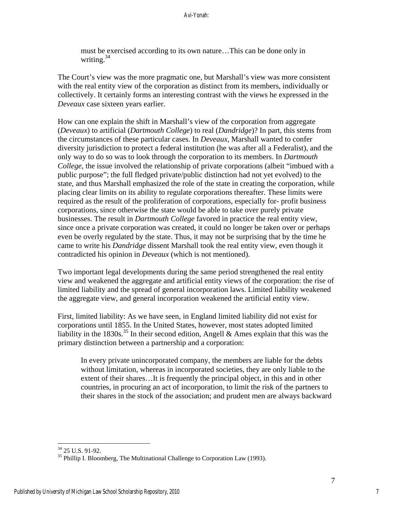must be exercised according to its own nature…This can be done only in writing. $34$ 

The Court's view was the more pragmatic one, but Marshall's view was more consistent with the real entity view of the corporation as distinct from its members, individually or collectively. It certainly forms an interesting contrast with the views he expressed in the *Deveaux* case sixteen years earlier.

How can one explain the shift in Marshall's view of the corporation from aggregate (*Deveaux*) to artificial (*Dartmouth College*) to real (*Dandridge*)? In part, this stems from the circumstances of these particular cases. In *Deveaux*, Marshall wanted to confer diversity jurisdiction to protect a federal institution (he was after all a Federalist), and the only way to do so was to look through the corporation to its members. In *Dartmouth College*, the issue involved the relationship of private corporations (albeit "imbued with a public purpose"; the full fledged private/public distinction had not yet evolved) to the state, and thus Marshall emphasized the role of the state in creating the corporation, while placing clear limits on its ability to regulate corporations thereafter. These limits were required as the result of the proliferation of corporations, especially for- profit business corporations, since otherwise the state would be able to take over purely private businesses. The result in *Dartmouth College* favored in practice the real entity view, since once a private corporation was created, it could no longer be taken over or perhaps even be overly regulated by the state. Thus, it may not be surprising that by the time he came to write his *Dandridge* dissent Marshall took the real entity view, even though it contradicted his opinion in *Deveaux* (which is not mentioned).

Two important legal developments during the same period strengthened the real entity view and weakened the aggregate and artificial entity views of the corporation: the rise of limited liability and the spread of general incorporation laws. Limited liability weakened the aggregate view, and general incorporation weakened the artificial entity view.

First, limited liability: As we have seen, in England limited liability did not exist for corporations until 1855. In the United States, however, most states adopted limited liability in the 1830s.<sup>35</sup> In their second edition, Angell & Ames explain that this was the primary distinction between a partnership and a corporation:

In every private unincorporated company, the members are liable for the debts without limitation, whereas in incorporated societies, they are only liable to the extent of their shares…It is frequently the principal object, in this and in other countries, in procuring an act of incorporation, to limit the risk of the partners to their shares in the stock of the association; and prudent men are always backward

<sup>&</sup>lt;sup>34</sup> 25 U.S. 91-92.

<sup>&</sup>lt;sup>35</sup> Phillip I. Bloomberg, The Multinational Challenge to Corporation Law (1993).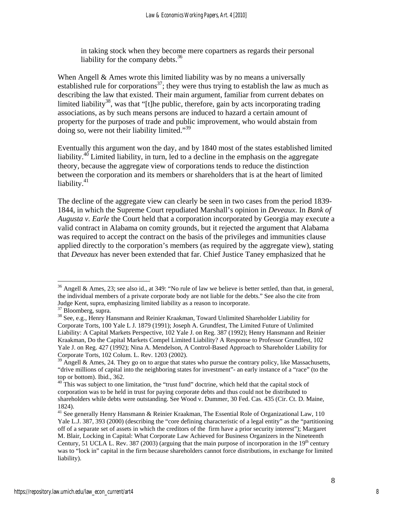in taking stock when they become mere copartners as regards their personal liability for the company debts. $36$ 

When Angell & Ames wrote this limited liability was by no means a universally established rule for corporations<sup>37</sup>; they were thus trying to establish the law as much as describing the law that existed. Their main argument, familiar from current debates on limited liability<sup>38</sup>, was that "[t]he public, therefore, gain by acts incorporating trading associations, as by such means persons are induced to hazard a certain amount of property for the purposes of trade and public improvement, who would abstain from doing so, were not their liability limited."<sup>39</sup>

Eventually this argument won the day, and by 1840 most of the states established limited liability.<sup>40</sup> Limited liability, in turn, led to a decline in the emphasis on the aggregate theory, because the aggregate view of corporations tends to reduce the distinction between the corporation and its members or shareholders that is at the heart of limited liability.<sup>41</sup>

The decline of the aggregate view can clearly be seen in two cases from the period 1839- 1844, in which the Supreme Court repudiated Marshall's opinion in *Deveaux*. In *Bank of Augusta v. Earle* the Court held that a corporation incorporated by Georgia may execute a valid contract in Alabama on comity grounds, but it rejected the argument that Alabama was required to accept the contract on the basis of the privileges and immunities clause applied directly to the corporation's members (as required by the aggregate view), stating that *Deveaux* has never been extended that far. Chief Justice Taney emphasized that he

 <sup>36</sup> Angell & Ames, 23; see also id., at 349: "No rule of law we believe is better settled, than that, in general, the individual members of a private corporate body are not liable for the debts." See also the cite from Judge Kent, supra, emphasizing limited liability as a reason to incorporate.

<sup>&</sup>lt;sup>37</sup> Bloomberg, supra.

<sup>38</sup> See, e.g., Henry Hansmann and Reinier Kraakman, Toward Unlimited Shareholder Liability for Corporate Torts, 100 Yale L J. 1879 (1991); Joseph A. Grundfest, The Limited Future of Unlimited Liability: A Capital Markets Perspective, 102 Yale J. on Reg. 387 (1992); Henry Hansmann and Reinier Kraakman, Do the Capital Markets Compel Limited Liability? A Response to Professor Grundfest, 102 Yale J. on Reg. 427 (1992); Nina A. Mendelson, A Control-Based Approach to Shareholder Liability for Corporate Torts, 102 Colum. L. Rev. 1203 (2002).

 $39$  Angell & Ames, 24. They go on to argue that states who pursue the contrary policy, like Massachusetts, "drive millions of capital into the neighboring states for investment"- an early instance of a "race" (to the top or bottom). Ibid., 362.

 $40$  This was subject to one limitation, the "trust fund" doctrine, which held that the capital stock of corporation was to be held in trust for paying corporate debts and thus could not be distributed to shareholders while debts were outstanding. See Wood v. Dummer, 30 Fed. Cas. 435 (Cir. Ct. D. Maine, 1824).

<sup>&</sup>lt;sup>41</sup> See generally Henry Hansmann & Reinier Kraakman, The Essential Role of Organizational Law, 110 Yale L.J. 387, 393 (2000) (describing the "core defining characteristic of a legal entity" as the "partitioning off of a separate set of assets in which the creditors of the firm have a prior security interest"); Margaret M. Blair, Locking in Capital: What Corporate Law Achieved for Business Organizers in the Nineteenth Century, 51 UCLA L. Rev. 387 (2003) (arguing that the main purpose of incorporation in the  $19<sup>th</sup>$  century was to "lock in" capital in the firm because shareholders cannot force distributions, in exchange for limited liability).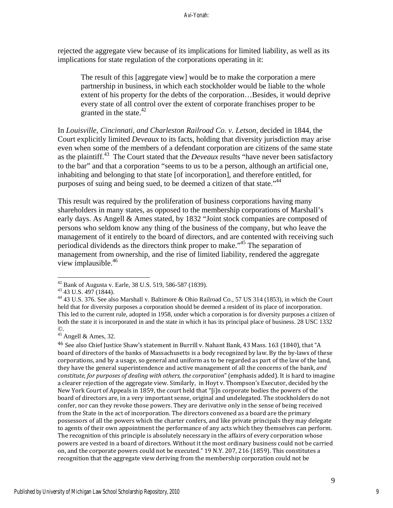rejected the aggregate view because of its implications for limited liability, as well as its implications for state regulation of the corporations operating in it:

The result of this [aggregate view] would be to make the corporation a mere partnership in business, in which each stockholder would be liable to the whole extent of his property for the debts of the corporation…Besides, it would deprive every state of all control over the extent of corporate franchises proper to be granted in the state. $42$ 

In *Louisville, Cincinnati, and Charleston Railroad Co. v. Letson*, decided in 1844, the Court explicitly limited *Deveaux* to its facts, holding that diversity jurisdiction may arise even when some of the members of a defendant corporation are citizens of the same state as the plaintiff.<sup>43</sup> The Court stated that the *Deveaux* results "have never been satisfactory to the bar" and that a corporation "seems to us to be a person, although an artificial one, inhabiting and belonging to that state [of incorporation], and therefore entitled, for purposes of suing and being sued, to be deemed a citizen of that state."<sup>44</sup>

This result was required by the proliferation of business corporations having many shareholders in many states, as opposed to the membership corporations of Marshall's early days. As Angell & Ames stated, by 1832 "Joint stock companies are composed of persons who seldom know any thing of the business of the company, but who leave the management of it entirely to the board of directors, and are contented with receiving such periodical dividends as the directors think proper to make."45 The separation of management from ownership, and the rise of limited liability, rendered the aggregate view implausible.<sup>46</sup>

 $45$  Angell & Ames, 32.

46 See also Chief Justice Shaw's statement in Burrill v. Nahant Bank, 43 Mass. 163 (1840), that "A board of directors of the banks of Massachusetts is a body recognized by law. By the by‐laws of these corporations, and by a usage, so general and uniform as to be regarded as part of the law of the land, they have the general superintendence and active management of all the concerns of the bank, *and constitute, for purposes of dealing with others, the corporation*" (emphasis added). It is hard to imagine a clearer rejection of the aggregate view. Similarly, in Hoyt v. Thompson's Executor, decided by the New York Court of Appeals in 1859, the court held that "[i]n corporate bodies the powers of the board of directors are, in a very important sense, original and undelegated. The stockholders do not confer, nor can they revoke those powers. They are derivative only in the sense of being received from the State in the act of incorporation. The directors convened as a board are the primary possessors of all the powers which the charter confers, and like private principals they may delegate to agents of their own appointment the performance of any acts which they themselves can perform. The recognition of this principle is absolutely necessary in the affairs of every corporation whose powers are vested in a board of directors. Without it the most ordinary business could not be carried on, and the corporate powers could not be executed." 19 N.Y. 207, 216 (1859). This constitutes a recognition that the aggregate view deriving from the membership corporation could not be

 $42$  Bank of Augusta v. Earle, 38 U.S. 519, 586-587 (1839).

<sup>43 43</sup> U.S. 497 (1844).

<sup>44 43</sup> U.S. 376. See also Marshall v. Baltimore & Ohio Railroad Co., 57 US 314 (1853), in which the Court held that for diversity purposes a corporation should be deemed a resident of its place of incorporation. This led to the current rule, adopted in 1958, under which a corporation is for diversity purposes a citizen of both the state it is incorporated in and the state in which it has its principal place of business. 28 USC 1332 ©.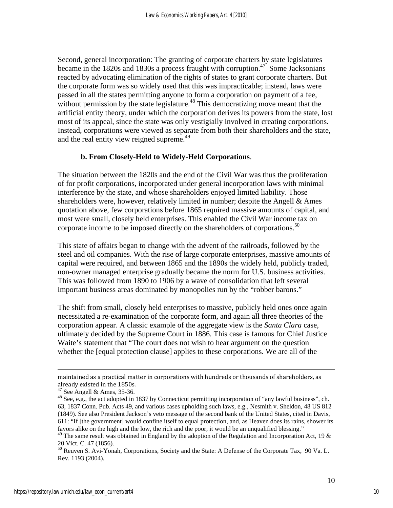Second, general incorporation: The granting of corporate charters by state legislatures became in the  $1820s$  and  $1830s$  a process fraught with corruption.<sup>47</sup> Some Jacksonians reacted by advocating elimination of the rights of states to grant corporate charters. But the corporate form was so widely used that this was impracticable; instead, laws were passed in all the states permitting anyone to form a corporation on payment of a fee, without permission by the state legislature.<sup>48</sup> This democratizing move meant that the artificial entity theory, under which the corporation derives its powers from the state, lost most of its appeal, since the state was only vestigially involved in creating corporations. Instead, corporations were viewed as separate from both their shareholders and the state, and the real entity view reigned supreme.<sup>49</sup>

### **b. From Closely-Held to Widely-Held Corporations**.

The situation between the 1820s and the end of the Civil War was thus the proliferation of for profit corporations, incorporated under general incorporation laws with minimal interference by the state, and whose shareholders enjoyed limited liability. Those shareholders were, however, relatively limited in number; despite the Angell & Ames quotation above, few corporations before 1865 required massive amounts of capital, and most were small, closely held enterprises. This enabled the Civil War income tax on corporate income to be imposed directly on the shareholders of corporations.<sup>50</sup>

This state of affairs began to change with the advent of the railroads, followed by the steel and oil companies. With the rise of large corporate enterprises, massive amounts of capital were required, and between 1865 and the 1890s the widely held, publicly traded, non-owner managed enterprise gradually became the norm for U.S. business activities. This was followed from 1890 to 1906 by a wave of consolidation that left several important business areas dominated by monopolies run by the "robber barons."

The shift from small, closely held enterprises to massive, publicly held ones once again necessitated a re-examination of the corporate form, and again all three theories of the corporation appear. A classic example of the aggregate view is the *Santa Clara* case, ultimately decided by the Supreme Court in 1886. This case is famous for Chief Justice Waite's statement that "The court does not wish to hear argument on the question whether the [equal protection clause] applies to these corporations. We are all of the

maintained as a practical matter in corporations with hundreds or thousands of shareholders, as already existed in the 1850s.<br><sup>47</sup> See Angell & Ames, 35-36.

<u> 1989 - Andrea San Andrea San Andrea San Andrea San Andrea San Andrea San Andrea San Andrea San Andrea San An</u>

<sup>&</sup>lt;sup>48</sup> See, e.g., the act adopted in 1837 by Connecticut permitting incorporation of "any lawful business", ch. 63, 1837 Conn. Pub. Acts 49, and various cases upholding such laws, e.g., Nesmith v. Sheldon, 48 US 812 (1849). See also President Jackson's veto message of the second bank of the United States, cited in Davis, 611: "If [the government] would confine itself to equal protection, and, as Heaven does its rains, shower its favors alike on the high and the low, the rich and the poor, it would be an unqualified blessing."

<sup>&</sup>lt;sup>49</sup> The same result was obtained in England by the adoption of the Regulation and Incorporation Act, 19  $\&$ 20 Vict. C. 47 (1856).

<sup>50</sup> Reuven S. Avi-Yonah, Corporations, Society and the State: A Defense of the Corporate Tax, 90 Va. L. Rev. 1193 (2004).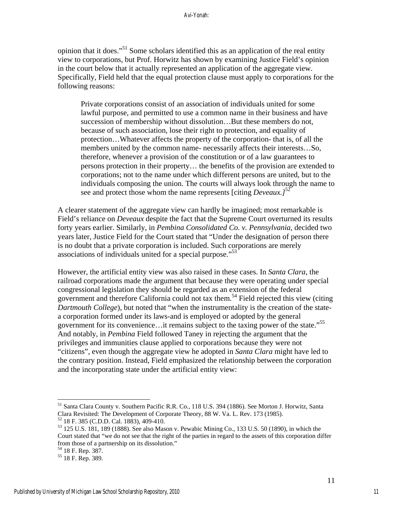opinion that it does."51 Some scholars identified this as an application of the real entity view to corporations, but Prof. Horwitz has shown by examining Justice Field's opinion in the court below that it actually represented an application of the aggregate view. Specifically, Field held that the equal protection clause must apply to corporations for the following reasons:

Private corporations consist of an association of individuals united for some lawful purpose, and permitted to use a common name in their business and have succession of membership without dissolution…But these members do not, because of such association, lose their right to protection, and equality of protection…Whatever affects the property of the corporation- that is, of all the members united by the common name- necessarily affects their interests…So, therefore, whenever a provision of the constitution or of a law guarantees to persons protection in their property… the benefits of the provision are extended to corporations; not to the name under which different persons are united, but to the individuals composing the union. The courts will always look through the name to see and protect those whom the name represents [citing *Deveaux.]*52

A clearer statement of the aggregate view can hardly be imagined; most remarkable is Field's reliance on *Deveaux* despite the fact that the Supreme Court overturned its results forty years earlier. Similarly, in *Pembina Consolidated Co. v. Pennsylvania*, decided two years later, Justice Field for the Court stated that "Under the designation of person there is no doubt that a private corporation is included. Such corporations are merely associations of individuals united for a special purpose."53

However, the artificial entity view was also raised in these cases. In *Santa Clara*, the railroad corporations made the argument that because they were operating under special congressional legislation they should be regarded as an extension of the federal government and therefore California could not tax them.<sup>54</sup> Field rejected this view (citing *Dartmouth College*), but noted that "when the instrumentality is the creation of the statea corporation formed under its laws-and is employed or adopted by the general government for its convenience…it remains subject to the taxing power of the state."55 And notably, in *Pembina* Field followed Taney in rejecting the argument that the privileges and immunities clause applied to corporations because they were not "citizens", even though the aggregate view he adopted in *Santa Clara* might have led to the contrary position. Instead, Field emphasized the relationship between the corporation and the incorporating state under the artificial entity view:

<sup>51</sup> Santa Clara County v. Southern Pacific R.R. Co., 118 U.S. 394 (1886). See Morton J. Horwitz, Santa Clara Revisited: The Development of Corporate Theory, 88 W. Va. L. Rev. 173 (1985).

 $52$  18 F. 385 (C.D.D. Cal. 1883), 409-410.

<sup>53 125</sup> U.S. 181, 189 (1888). See also Mason v. Pewabic Mining Co., 133 U.S. 50 (1890), in which the Court stated that "we do not see that the right of the parties in regard to the assets of this corporation differ from those of a partnership on its dissolution."

<sup>&</sup>lt;sup>54</sup> 18 F. Rep. 387.

<sup>55 18</sup> F. Rep. 389.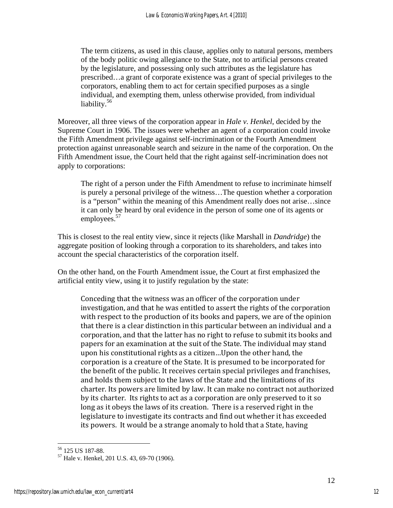The term citizens, as used in this clause, applies only to natural persons, members of the body politic owing allegiance to the State, not to artificial persons created by the legislature, and possessing only such attributes as the legislature has prescribed…a grant of corporate existence was a grant of special privileges to the corporators, enabling them to act for certain specified purposes as a single individual, and exempting them, unless otherwise provided, from individual liability.<sup>56</sup>

Moreover, all three views of the corporation appear in *Hale v. Henkel*, decided by the Supreme Court in 1906. The issues were whether an agent of a corporation could invoke the Fifth Amendment privilege against self-incrimination or the Fourth Amendment protection against unreasonable search and seizure in the name of the corporation. On the Fifth Amendment issue, the Court held that the right against self-incrimination does not apply to corporations:

The right of a person under the Fifth Amendment to refuse to incriminate himself is purely a personal privilege of the witness…The question whether a corporation is a "person" within the meaning of this Amendment really does not arise…since it can only be heard by oral evidence in the person of some one of its agents or employees.<sup>57</sup>

This is closest to the real entity view, since it rejects (like Marshall in *Dandridge*) the aggregate position of looking through a corporation to its shareholders, and takes into account the special characteristics of the corporation itself.

On the other hand, on the Fourth Amendment issue, the Court at first emphasized the artificial entity view, using it to justify regulation by the state:

Conceding that the witness was an officer of the corporation under investigation, and that he was entitled to assert the rights of the corporation with respect to the production of its books and papers, we are of the opinion that there is a clear distinction in this particular between an individual and a corporation, and that the latter has no right to refuse to submit its books and papers for an examination at the suit of the State. The individual may stand upon his constitutional rights as a citizen…Upon the other hand, the corporation is a creature of the State. It is presumed to be incorporated for the benefit of the public. It receives certain special privileges and franchises, and holds them subject to the laws of the State and the limitations of its charter. Its powers are limited by law. It can make no contract not authorized by its charter. Its rights to act as a corporation are only preserved to it so long as it obeys the laws of its creation. There is a reserved right in the legislature to investigate its contracts and find out whether it has exceeded its powers. It would be a strange anomaly to hold that a State, having

 56 125 US 187-88.

<sup>57</sup> Hale v. Henkel, 201 U.S. 43, 69-70 (1906).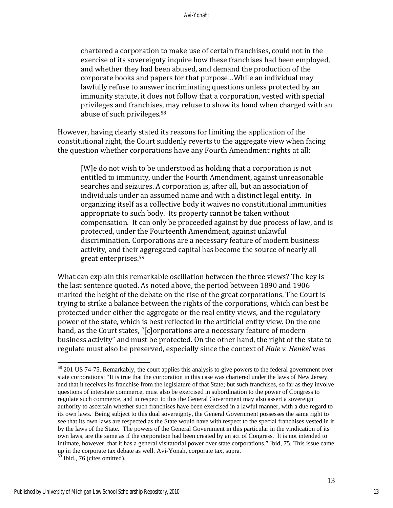chartered a corporation to make use of certain franchises, could not in the exercise of its sovereignty inquire how these franchises had been employed, and whether they had been abused, and demand the production of the corporate books and papers for that purpose…While an individual may lawfully refuse to answer incriminating questions unless protected by an immunity statute, it does not follow that a corporation, vested with special privileges and franchises, may refuse to show its hand when charged with an abuse of such privileges.58

However, having clearly stated its reasons for limiting the application of the constitutional right, the Court suddenly reverts to the aggregate view when facing the question whether corporations have any Fourth Amendment rights at all:

[W]e do not wish to be understood as holding that a corporation is not entitled to immunity, under the Fourth Amendment, against unreasonable searches and seizures. A corporation is, after all, but an association of individuals under an assumed name and with a distinct legal entity. In organizing itself as a collective body it waives no constitutional immunities appropriate to such body. Its property cannot be taken without compensation. It can only be proceeded against by due process of law, and is protected, under the Fourteenth Amendment, against unlawful discrimination. Corporations are a necessary feature of modern business activity, and their aggregated capital has become the source of nearly all great enterprises.59

What can explain this remarkable oscillation between the three views? The key is the last sentence quoted. As noted above, the period between 1890 and 1906 marked the height of the debate on the rise of the great corporations. The Court is trying to strike a balance between the rights of the corporations, which can best be protected under either the aggregate or the real entity views, and the regulatory power of the state, which is best reflected in the artificial entity view. On the one hand, as the Court states, "[c]orporations are a necessary feature of modern business activity" and must be protected. On the other hand, the right of the state to regulate must also be preserved, especially since the context of *Hale v. Henkel* was

<sup>&</sup>lt;sup>58</sup> 201 US 74-75. Remarkably, the court applies this analysis to give powers to the federal government over state corporations: "It is true that the corporation in this case was chartered under the laws of New Jersey, and that it receives its franchise from the legislature of that State; but such franchises, so far as they involve questions of interstate commerce, must also be exercised in subordination to the power of Congress to regulate such commerce, and in respect to this the General Government may also assert a sovereign authority to ascertain whether such franchises have been exercised in a lawful manner, with a due regard to its own laws. Being subject to this dual sovereignty, the General Government possesses the same right to see that its own laws are respected as the State would have with respect to the special franchises vested in it by the laws of the State. The powers of the General Government in this particular in the vindication of its own laws, are the same as if the corporation had been created by an act of Congress. It is not intended to intimate, however, that it has a general visitatorial power over state corporations." Ibid, 75. This issue came up in the corporate tax debate as well. Avi-Yonah, corporate tax, supra.

 $59$  Ibid., 76 (cites omitted).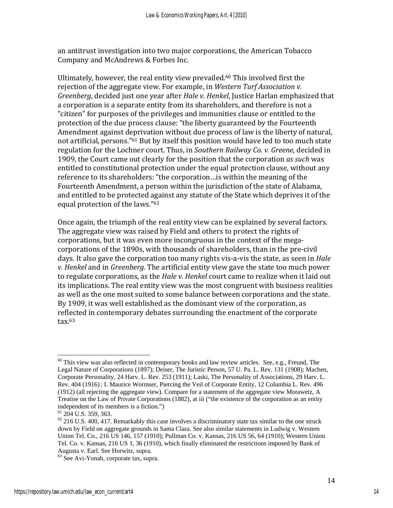an antitrust investigation into two major corporations, the American Tobacco Company and McAndrews & Forbes Inc.

Ultimately, however, the real entity view prevailed.60 This involved first the rejection of the aggregate view. For example, in *Western Turf Association v. Greenberg*, decided just one year after *Hale v. Henkel*, Justice Harlan emphasized that a corporation is a separate entity from its shareholders, and therefore is not a "citizen" for purposes of the privileges and immunities clause or entitled to the protection of the due process clause: "the liberty guaranteed by the Fourteenth Amendment against deprivation without due process of law is the liberty of natural, not artificial, persons."61 But by itself this position would have led to too much state regulation for the Lochner court. Thus, in *Southern Railway Co. v. Greene*, decided in 1909, the Court came out clearly for the position that the corporation *as such* was entitled to constitutional protection under the equal protection clause, without any reference to its shareholders: "the corporation…is within the meaning of the Fourteenth Amendment, a person within the jurisdiction of the state of Alabama, and entitled to be protected against any statute of the State which deprives it of the equal protection of the laws."62

Once again, the triumph of the real entity view can be explained by several factors. The aggregate view was raised by Field and others to protect the rights of corporations, but it was even more incongruous in the context of the mega‐ corporations of the 1890s, with thousands of shareholders, than in the pre‐civil days. It also gave the corporation too many rights vis‐a‐vis the state, as seen in *Hale v. Henkel* and in *Greenberg*. The artificial entity view gave the state too much power to regulate corporations, as the *Hale v. Henkel* court came to realize when it laid out its implications. The real entity view was the most congruent with business realities as well as the one most suited to some balance between corporations and the state. By 1909, it was well established as the dominant view of the corporation, as reflected in contemporary debates surrounding the enactment of the corporate tax.63

 $60$  This view was also reflected in contemporary books and law review articles. See, e.g., Freund, The Legal Nature of Corporations (1897); Deiser, The Juristic Person, 57 U. Pa. L. Rev. 131 (1908); Machen, Corporate Personality, 24 Harv. L. Rev. 253 (1911); Laski, The Personality of Associations, 29 Harv. L. Rev. 404 (1916); I. Maurice Wormser, Piercing the Veil of Corporate Entity, 12 Columbia L. Rev. 496 (1912) (all rejecting the aggregate view). Compare for a statement of the aggregate view Morawetz, A Treatise on the Law of Private Corporations (1882), at iii ("the existence of the corporation as an entity independent of its members is a fiction.")

 $61$  204 U.S. 359, 363.

 $62$  216 U.S. 400, 417. Remarkably this case involves a discriminatory state tax similar to the one struck down by Field on aggregate grounds in Santa Clara. See also similar statements in Ludwig v. Western Union Tel. Co., 216 US 146, 157 (1910); Pullman Co. v. Kansas, 216 US 56, 64 (1910); Western Union Tel. Co. v. Kansas, 216 US 1, 36 (1910), which finally eliminated the restrictions imposed by Bank of Augusta v. Earl. See Horwitz, supra.

<sup>63</sup> See Avi-Yonah, corporate tax, supra.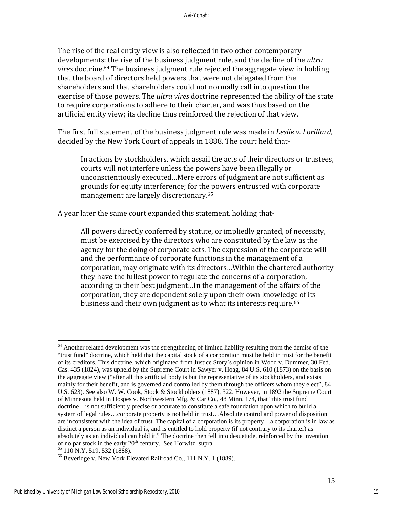The rise of the real entity view is also reflected in two other contemporary developments: the rise of the business judgment rule, and the decline of the *ultra vires* doctrine.64 The business judgment rule rejected the aggregate view in holding that the board of directors held powers that were not delegated from the shareholders and that shareholders could not normally call into question the exercise of those powers. The *ultra vires* doctrine represented the ability of the state to require corporations to adhere to their charter, and was thus based on the artificial entity view; its decline thus reinforced the rejection of that view.

The first full statement of the business judgment rule was made in *Leslie v. Lorillard*, decided by the New York Court of appeals in 1888. The court held that‐

In actions by stockholders, which assail the acts of their directors or trustees, courts will not interfere unless the powers have been illegally or unconscientiously executed…Mere errors of judgment are not sufficient as grounds for equity interference; for the powers entrusted with corporate management are largely discretionary.65

A year later the same court expanded this statement, holding that‐

All powers directly conferred by statute, or impliedly granted, of necessity, must be exercised by the directors who are constituted by the law as the agency for the doing of corporate acts. The expression of the corporate will and the performance of corporate functions in the management of a corporation, may originate with its directors…Within the chartered authority they have the fullest power to regulate the concerns of a corporation, according to their best judgment…In the management of the affairs of the corporation, they are dependent solely upon their own knowledge of its business and their own judgment as to what its interests require.<sup>66</sup>

<sup>&</sup>lt;sup>64</sup> Another related development was the strengthening of limited liability resulting from the demise of the "trust fund" doctrine, which held that the capital stock of a corporation must be held in trust for the benefit of its creditors. This doctrine, which originated from Justice Story's opinion in Wood v. Dummer, 30 Fed. Cas. 435 (1824), was upheld by the Supreme Court in Sawyer v. Hoag, 84 U.S. 610 (1873) on the basis on the aggregate view ("after all this artificial body is but the representative of its stockholders, and exists mainly for their benefit, and is governed and controlled by them through the officers whom they elect", 84 U.S. 623). See also W. W. Cook, Stock & Stockholders (1887), 322. However, in 1892 the Supreme Court of Minnesota held in Hospes v. Northwestern Mfg. & Car Co., 48 Minn. 174, that "this trust fund doctrine…is not sufficiently precise or accurate to constitute a safe foundation upon which to build a system of legal rules…corporate property is not held in trust…Absolute control and power of disposition are inconsistent with the idea of trust. The capital of a corporation is its property…a corporation is in law as distinct a person as an individual is, and is entitled to hold property (if not contrary to its charter) as absolutely as an individual can hold it." The doctrine then fell into desuetude, reinforced by the invention of no par stock in the early  $20^{th}$  century. See Horwitz, supra.  $65$  110 N.Y. 519, 532 (1888).

<sup>66</sup> Beveridge v. New York Elevated Railroad Co., 111 N.Y. 1 (1889).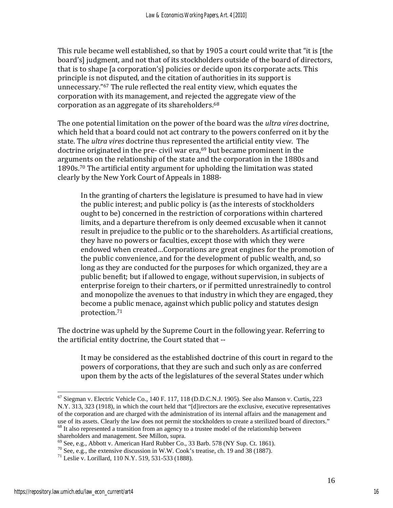This rule became well established, so that by 1905 a court could write that "it is [the board's] judgment, and not that of its stockholders outside of the board of directors, that is to shape [a corporation's] policies or decide upon its corporate acts. This principle is not disputed, and the citation of authorities in its support is unnecessary."67 The rule reflected the real entity view, which equates the corporation with its management, and rejected the aggregate view of the corporation as an aggregate of its shareholders.68

The one potential limitation on the power of the board was the *ultra vires* doctrine, which held that a board could not act contrary to the powers conferred on it by the state. The *ultra vires* doctrine thus represented the artificial entity view. The doctrine originated in the pre-civil war era,<sup>69</sup> but became prominent in the arguments on the relationship of the state and the corporation in the 1880s and 1890s.70 The artificial entity argument for upholding the limitation was stated clearly by the New York Court of Appeals in 1888‐

In the granting of charters the legislature is presumed to have had in view the public interest; and public policy is (as the interests of stockholders ought to be) concerned in the restriction of corporations within chartered limits, and a departure therefrom is only deemed excusable when it cannot result in prejudice to the public or to the shareholders. As artificial creations, they have no powers or faculties, except those with which they were endowed when created…Corporations are great engines for the promotion of the public convenience, and for the development of public wealth, and, so long as they are conducted for the purposes for which organized, they are a public benefit; but if allowed to engage, without supervision, in subjects of enterprise foreign to their charters, or if permitted unrestrainedly to control and monopolize the avenues to that industry in which they are engaged, they become a public menace, against which public policy and statutes design protection.71

The doctrine was upheld by the Supreme Court in the following year. Referring to the artificial entity doctrine, the Court stated that ‐‐

It may be considered as the established doctrine of this court in regard to the powers of corporations, that they are such and such only as are conferred upon them by the acts of the legislatures of the several States under which

 67 Siegman v. Electric Vehicle Co., 140 F. 117, 118 (D.D.C.N.J. 1905). See also Manson v. Curtis, 223 N.Y. 313, 323 (1918), in which the court held that "[d]irectors are the exclusive, executive representatives of the corporation and are charged with the administration of its internal affairs and the management and use of its assets. Clearly the law does not permit the stockholders to create a sterilized board of directors." <sup>68</sup> It also represented a transition from an agency to a trustee model of the relationship between

shareholders and management. See Millon, supra.<br><sup>69</sup> See, e.g., Abbott v. American Hard Rubber Co., 33 Barb. 578 (NY Sup. Ct. 1861).

<sup>&</sup>lt;sup>70</sup> See, e.g., the extensive discussion in W.W. Cook's treatise, ch. 19 and 38 (1887). <sup>71</sup> Leslie v. Lorillard, 110 N.Y. 519, 531-533 (1888).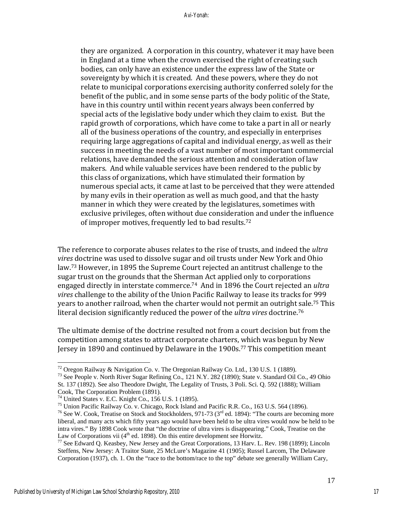they are organized. A corporation in this country, whatever it may have been in England at a time when the crown exercised the right of creating such bodies, can only have an existence under the express law of the State or sovereignty by which it is created. And these powers, where they do not relate to municipal corporations exercising authority conferred solely for the benefit of the public, and in some sense parts of the body politic of the State, have in this country until within recent years always been conferred by special acts of the legislative body under which they claim to exist. But the rapid growth of corporations, which have come to take a part in all or nearly all of the business operations of the country, and especially in enterprises requiring large aggregations of capital and individual energy, as well as their success in meeting the needs of a vast number of most important commercial relations, have demanded the serious attention and consideration of law makers. And while valuable services have been rendered to the public by this class of organizations, which have stimulated their formation by numerous special acts, it came at last to be perceived that they were attended by many evils in their operation as well as much good, and that the hasty manner in which they were created by the legislatures, sometimes with exclusive privileges, often without due consideration and under the influence of improper motives, frequently led to bad results.72

The reference to corporate abuses relates to the rise of trusts, and indeed the *ultra vires* doctrine was used to dissolve sugar and oil trusts under New York and Ohio law.73 However, in 1895 the Supreme Court rejected an antitrust challenge to the sugar trust on the grounds that the Sherman Act applied only to corporations engaged directly in interstate commerce.74 And in 1896 the Court rejected an *ultra vires* challenge to the ability of the Union Pacific Railway to lease its tracks for 999 years to another railroad, when the charter would not permit an outright sale.75 This literal decision significantly reduced the power of the *ultra vires* doctrine.76

The ultimate demise of the doctrine resulted not from a court decision but from the competition among states to attract corporate charters, which was begun by New Jersey in 1890 and continued by Delaware in the 1900s.<sup>77</sup> This competition meant

 $72$  Oregon Railway & Navigation Co. v. The Oregonian Railway Co. Ltd., 130 U.S. 1 (1889).

<sup>73</sup> See People v. North River Sugar Refining Co., 121 N.Y. 282 (1890); State v. Standard Oil Co., 49 Ohio St. 137 (1892). See also Theodore Dwight, The Legality of Trusts, 3 Poli. Sci. Q. 592 (1888); William Cook, The Corporation Problem (1891).

 $^{74}$  United States v. E.C. Knight Co., 156 U.S. 1 (1895).<br> $^{75}$  Union Pacific Railway Co. v. Chicago, Rock Island and Pacific R.R. Co., 163 U.S. 564 (1896).

<sup>&</sup>lt;sup>76</sup> See W. Cook, Treatise on Stock and Stockholders, 971-73 ( $3<sup>rd</sup>$  ed. 1894): "The courts are becoming more liberal, and many acts which fifty years ago would have been held to be ultra vires would now be held to be intra vires." By 1898 Cook wrote that "the doctrine of ultra vires is disappearing." Cook, Treatise on the Law of Corporations vii  $(4<sup>th</sup>$  ed. 1898). On this entire development see Horwitz.

 $^{77}$  See Edward Q. Keasbey, New Jersey and the Great Corporations, 13 Harv. L. Rev. 198 (1899); Lincoln Steffens, New Jersey: A Traitor State, 25 McLure's Magazine 41 (1905); Russel Larcom, The Delaware Corporation (1937), ch. 1. On the "race to the bottom/race to the top" debate see generally William Cary,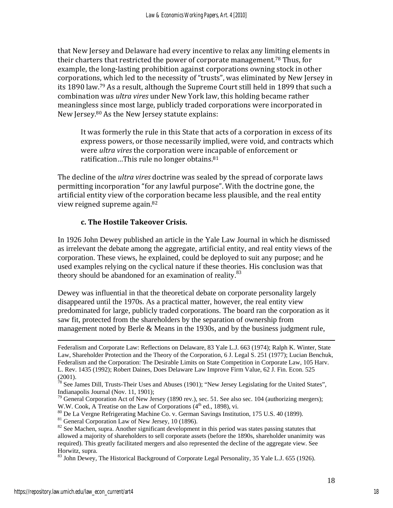that New Jersey and Delaware had every incentive to relax any limiting elements in their charters that restricted the power of corporate management.78 Thus, for example, the long‐lasting prohibition against corporations owning stock in other corporations, which led to the necessity of "trusts", was eliminated by New Jersey in its 1890 law.79 As a result, although the Supreme Court still held in 1899 that such a combination was *ultra vires* under New York law, this holding became rather meaningless since most large, publicly traded corporations were incorporated in New Jersey.80 As the New Jersey statute explains:

It was formerly the rule in this State that acts of a corporation in excess of its express powers, or those necessarily implied, were void, and contracts which were *ultra vires* the corporation were incapable of enforcement or ratification...This rule no longer obtains.<sup>81</sup>

The decline of the *ultra vires* doctrine was sealed by the spread of corporate laws permitting incorporation "for any lawful purpose". With the doctrine gone, the artificial entity view of the corporation became less plausible, and the real entity view reigned supreme again.82

## **c. The Hostile Takeover Crisis.**

In 1926 John Dewey published an article in the Yale Law Journal in which he dismissed as irrelevant the debate among the aggregate, artificial entity, and real entity views of the corporation. These views, he explained, could be deployed to suit any purpose; and he used examples relying on the cyclical nature if these theories. His conclusion was that theory should be abandoned for an examination of reality.<sup>83</sup>

Dewey was influential in that the theoretical debate on corporate personality largely disappeared until the 1970s. As a practical matter, however, the real entity view predominated for large, publicly traded corporations. The board ran the corporation as it saw fit, protected from the shareholders by the separation of ownership from management noted by Berle & Means in the 1930s, and by the business judgment rule,

<u> 1989 - Andrea San Andrea San Andrea San Andrea San Andrea San Andrea San Andrea San Andrea San Andrea San An</u>

Federalism and Corporate Law: Reflections on Delaware, 83 Yale L.J. 663 (1974); Ralph K. Winter, State Law, Shareholder Protection and the Theory of the Corporation, 6 J. Legal S. 251 (1977); Lucian Benchuk, Federalism and the Corporation: The Desirable Limits on State Competition in Corporate Law, 105 Harv. L. Rev. 1435 (1992); Robert Daines, Does Delaware Law Improve Firm Value, 62 J. Fin. Econ. 525 (2001).

<sup>&</sup>lt;sup>78</sup> See James Dill, Trusts-Their Uses and Abuses (1901); "New Jersey Legislating for the United States", Indianapolis Journal (Nov. 11, 1901);

<sup>&</sup>lt;sup>79</sup> General Corporation Act of New Jersey (1890 rev.), sec. 51. See also sec. 104 (authorizing mergers); W.W. Cook, A Treatise on the Law of Corporations ( $4<sup>th</sup>$  ed., 1898), vi.

 $^{80}$  De La Vergne Refrigerating Machine Co. v. German Savings Institution, 175 U.S. 40 (1899).  $^{81}$  General Corporation Law of New Jersey, 10 (1896).

<sup>&</sup>lt;sup>82</sup> See Machen, supra. Another significant development in this period was states passing statutes that allowed a majority of shareholders to sell corporate assets (before the 1890s, shareholder unanimity was required). This greatly facilitated mergers and also represented the decline of the aggregate view. See Horwitz, supra.

<sup>&</sup>lt;sup>83</sup> John Dewey, The Historical Background of Corporate Legal Personality, 35 Yale L.J. 655 (1926).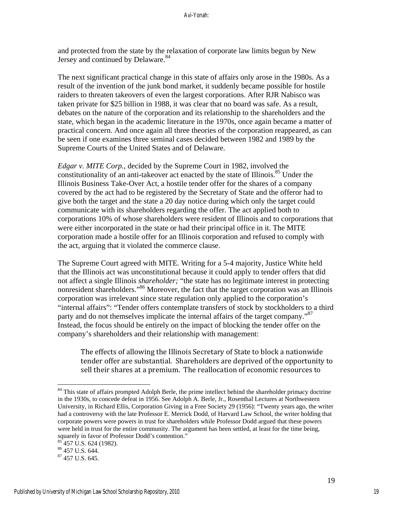and protected from the state by the relaxation of corporate law limits begun by New Jersey and continued by Delaware.<sup>84</sup>

The next significant practical change in this state of affairs only arose in the 1980s. As a result of the invention of the junk bond market, it suddenly became possible for hostile raiders to threaten takeovers of even the largest corporations. After RJR Nabisco was taken private for \$25 billion in 1988, it was clear that no board was safe. As a result, debates on the nature of the corporation and its relationship to the shareholders and the state, which began in the academic literature in the 1970s, once again became a matter of practical concern. And once again all three theories of the corporation reappeared, as can be seen if one examines three seminal cases decided between 1982 and 1989 by the Supreme Courts of the United States and of Delaware.

*Edgar v. MITE Corp.*, decided by the Supreme Court in 1982, involved the constitutionality of an anti-takeover act enacted by the state of Illinois.<sup>85</sup> Under the Illinois Business Take-Over Act, a hostile tender offer for the shares of a company covered by the act had to be registered by the Secretary of State and the offeror had to give both the target and the state a 20 day notice during which only the target could communicate with its shareholders regarding the offer. The act applied both to corporations 10% of whose shareholders were resident of Illinois and to corporations that were either incorporated in the state or had their principal office in it. The MITE corporation made a hostile offer for an Illinois corporation and refused to comply with the act, arguing that it violated the commerce clause.

The Supreme Court agreed with MITE. Writing for a 5-4 majority, Justice White held that the Illinois act was unconstitutional because it could apply to tender offers that did not affect a single Illinois *shareholder;* "the state has no legitimate interest in protecting nonresident shareholders."<sup>86</sup> Moreover, the fact that the target corporation was an Illinois corporation was irrelevant since state regulation only applied to the corporation's "internal affairs": "Tender offers contemplate transfers of stock by stockholders to a third party and do not themselves implicate the internal affairs of the target company."<sup>87</sup> Instead, the focus should be entirely on the impact of blocking the tender offer on the company's shareholders and their relationship with management:

The effects of allowing the Illinois Secretary of State to block a nationwide tender offer are substantial. Shareholders are deprived of the opportunity to sell their shares at a premium. The reallocation of economic resources to

<sup>&</sup>lt;sup>84</sup> This state of affairs prompted Adolph Berle, the prime intellect behind the shareholder primacy doctrine in the 1930s, to concede defeat in 1956. See Adolph A. Berle, Jr., Rosenthal Lectures at Northwestern University, in Richard Ellis, Corporation Giving in a Free Society 29 (1956): "Twenty years ago, the writer had a controversy with the late Professor E. Merrick Dodd, of Harvard Law School, the writer holding that corporate powers were powers in trust for shareholders while Professor Dodd argued that these powers were held in trust for the entire community. The argument has been settled, at least for the time being, squarely in favor of Professor Dodd's contention."

 $^{85}$ 457 U.S. 624 (1982).

<sup>86 457</sup> U.S. 644.

 $87$  457 U.S. 645.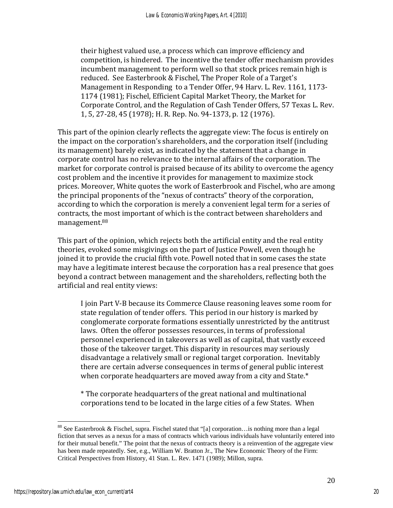their highest valued use, a process which can improve efficiency and competition, is hindered. The incentive the tender offer mechanism provides incumbent management to perform well so that stock prices remain high is reduced. See Easterbrook & Fischel, The Proper Role of a Target's Management in Responding to a Tender Offer, 94 Harv. L. Rev. 1161, 1173‐ 1174 (1981); Fischel, Efficient Capital Market Theory, the Market for Corporate Control, and the Regulation of Cash Tender Offers, 57 Texas L. Rev. 1, 5, 27‐28, 45 (1978); H. R. Rep. No. 94‐1373, p. 12 (1976).

This part of the opinion clearly reflects the aggregate view: The focus is entirely on the impact on the corporation's shareholders, and the corporation itself (including its management) barely exist, as indicated by the statement that a change in corporate control has no relevance to the internal affairs of the corporation. The market for corporate control is praised because of its ability to overcome the agency cost problem and the incentive it provides for management to maximize stock prices. Moreover, White quotes the work of Easterbrook and Fischel, who are among the principal proponents of the "nexus of contracts" theory of the corporation, according to which the corporation is merely a convenient legal term for a series of contracts, the most important of which is the contract between shareholders and management.88

This part of the opinion, which rejects both the artificial entity and the real entity theories, evoked some misgivings on the part of Justice Powell, even though he joined it to provide the crucial fifth vote. Powell noted that in some cases the state may have a legitimate interest because the corporation has a real presence that goes beyond a contract between management and the shareholders, reflecting both the artificial and real entity views:

I join Part V‐B because its Commerce Clause reasoning leaves some room for state regulation of tender offers. This period in our history is marked by conglomerate corporate formations essentially unrestricted by the antitrust laws. Often the offeror possesses resources, in terms of professional personnel experienced in takeovers as well as of capital, that vastly exceed those of the takeover target. This disparity in resources may seriously disadvantage a relatively small or regional target corporation. Inevitably there are certain adverse consequences in terms of general public interest when corporate headquarters are moved away from a city and State.\*

\* The corporate headquarters of the great national and multinational corporations tend to be located in the large cities of a few States. When

<sup>88</sup> See Easterbrook & Fischel, supra. Fischel stated that "[a] corporation...is nothing more than a legal fiction that serves as a nexus for a mass of contracts which various individuals have voluntarily entered into for their mutual benefit." The point that the nexus of contracts theory is a reinvention of the aggregate view has been made repeatedly. See, e.g., William W. Bratton Jr., The New Economic Theory of the Firm: Critical Perspectives from History, 41 Stan. L. Rev. 1471 (1989); Millon, supra.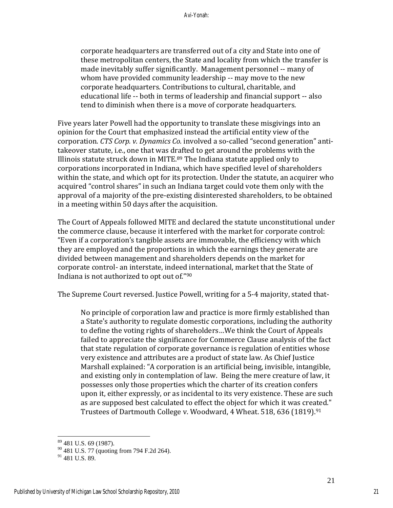corporate headquarters are transferred out of a city and State into one of these metropolitan centers, the State and locality from which the transfer is made inevitably suffer significantly. Management personnel ‐‐ many of whom have provided community leadership -- may move to the new corporate headquarters. Contributions to cultural, charitable, and educational life ‐‐ both in terms of leadership and financial support ‐‐ also tend to diminish when there is a move of corporate headquarters.

Five years later Powell had the opportunity to translate these misgivings into an opinion for the Court that emphasized instead the artificial entity view of the corporation. *CTS Corp. v. Dynamics Co.* involved a so‐called "second generation" anti‐ takeover statute, i.e., one that was drafted to get around the problems with the Illinois statute struck down in MITE.89 The Indiana statute applied only to corporations incorporated in Indiana, which have specified level of shareholders within the state, and which opt for its protection. Under the statute, an acquirer who acquired "control shares" in such an Indiana target could vote them only with the approval of a majority of the pre‐existing disinterested shareholders, to be obtained in a meeting within 50 days after the acquisition.

The Court of Appeals followed MITE and declared the statute unconstitutional under the commerce clause, because it interfered with the market for corporate control: "Even if a corporation's tangible assets are immovable, the efficiency with which they are employed and the proportions in which the earnings they generate are divided between management and shareholders depends on the market for corporate control‐ an interstate, indeed international, market that the State of Indiana is not authorized to opt out of."90

The Supreme Court reversed. Justice Powell, writing for a 5‐4 majority, stated that‐

No principle of corporation law and practice is more firmly established than a State's authority to regulate domestic corporations, including the authority to define the voting rights of shareholders…We think the Court of Appeals failed to appreciate the significance for Commerce Clause analysis of the fact that state regulation of corporate governance is regulation of entities whose very existence and attributes are a product of state law. As Chief Justice Marshall explained: "A corporation is an artificial being, invisible, intangible, and existing only in contemplation of law. Being the mere creature of law, it possesses only those properties which the charter of its creation confers upon it, either expressly, or as incidental to its very existence. These are such as are supposed best calculated to effect the object for which it was created." Trustees of Dartmouth College v. Woodward, 4 Wheat. 518, 636 (1819).<sup>91</sup>

<sup>89 481</sup> U.S. 69 (1987).

 $^{90}$  481 U.S. 77 (quoting from 794 F.2d 264).

 $91$  481 U.S. 89.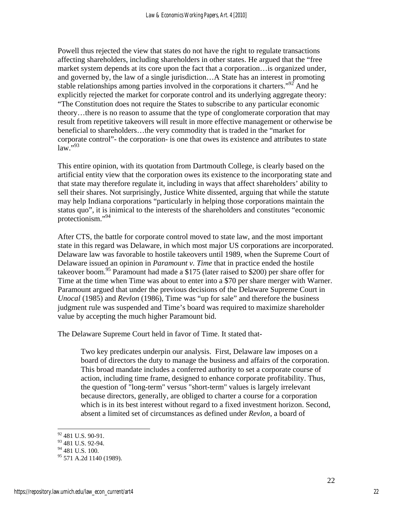Powell thus rejected the view that states do not have the right to regulate transactions affecting shareholders, including shareholders in other states. He argued that the "free market system depends at its core upon the fact that a corporation…is organized under, and governed by, the law of a single jurisdiction…A State has an interest in promoting stable relationships among parties involved in the corporations it charters.<sup>"92</sup> And he explicitly rejected the market for corporate control and its underlying aggregate theory: "The Constitution does not require the States to subscribe to any particular economic theory…there is no reason to assume that the type of conglomerate corporation that may result from repetitive takeovers will result in more effective management or otherwise be beneficial to shareholders…the very commodity that is traded in the "market for corporate control"- the corporation- is one that owes its existence and attributes to state  $law.$ <sup>93</sup>

This entire opinion, with its quotation from Dartmouth College, is clearly based on the artificial entity view that the corporation owes its existence to the incorporating state and that state may therefore regulate it, including in ways that affect shareholders' ability to sell their shares. Not surprisingly, Justice White dissented, arguing that while the statute may help Indiana corporations "particularly in helping those corporations maintain the status quo", it is inimical to the interests of the shareholders and constitutes "economic protectionism."<sup>94</sup>

After CTS, the battle for corporate control moved to state law, and the most important state in this regard was Delaware, in which most major US corporations are incorporated. Delaware law was favorable to hostile takeovers until 1989, when the Supreme Court of Delaware issued an opinion in *Paramount v. Time* that in practice ended the hostile takeover boom.<sup>95</sup> Paramount had made a \$175 (later raised to \$200) per share offer for Time at the time when Time was about to enter into a \$70 per share merger with Warner. Paramount argued that under the previous decisions of the Delaware Supreme Court in *Unocal* (1985) and *Revlon* (1986), Time was "up for sale" and therefore the business judgment rule was suspended and Time's board was required to maximize shareholder value by accepting the much higher Paramount bid.

The Delaware Supreme Court held in favor of Time. It stated that-

Two key predicates underpin our analysis. First, Delaware law imposes on a board of directors the duty to manage the business and affairs of the corporation. This broad mandate includes a conferred authority to set a corporate course of action, including time frame, designed to enhance corporate profitability. Thus, the question of "long-term" versus "short-term" values is largely irrelevant because directors, generally, are obliged to charter a course for a corporation which is in its best interest without regard to a fixed investment horizon. Second, absent a limited set of circumstances as defined under *Revlon*, a board of

<sup>&</sup>lt;sup>92</sup> 481 U.S. 90-91.

<sup>93 481</sup> U.S. 92-94.

<sup>&</sup>lt;sup>94</sup> 481 U.S. 100.

<sup>&</sup>lt;sup>95</sup> 571 A.2d 1140 (1989).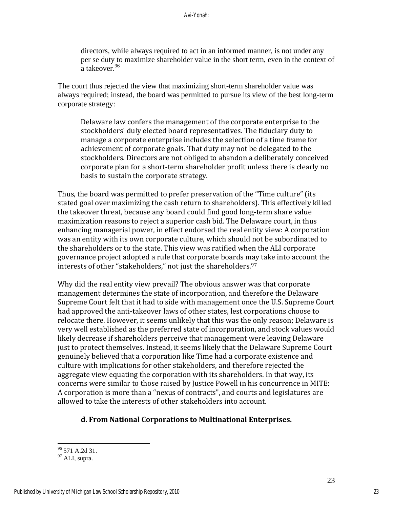directors, while always required to act in an informed manner, is not under any per se duty to maximize shareholder value in the short term, even in the context of a takeover.96

The court thus rejected the view that maximizing short-term shareholder value was always required; instead, the board was permitted to pursue its view of the best long-term corporate strategy:

Delaware law confers the management of the corporate enterprise to the stockholders' duly elected board representatives. The fiduciary duty to manage a corporate enterprise includes the selection of a time frame for achievement of corporate goals. That duty may not be delegated to the stockholders. Directors are not obliged to abandon a deliberately conceived corporate plan for a short‐term shareholder profit unless there is clearly no basis to sustain the corporate strategy.

Thus, the board was permitted to prefer preservation of the "Time culture" (its stated goal over maximizing the cash return to shareholders). This effectively killed the takeover threat, because any board could find good long‐term share value maximization reasons to reject a superior cash bid. The Delaware court, in thus enhancing managerial power, in effect endorsed the real entity view: A corporation was an entity with its own corporate culture, which should not be subordinated to the shareholders or to the state. This view was ratified when the ALI corporate governance project adopted a rule that corporate boards may take into account the interests of other "stakeholders," not just the shareholders.<sup>97</sup>

Why did the real entity view prevail? The obvious answer was that corporate management determines the state of incorporation, and therefore the Delaware Supreme Court felt that it had to side with management once the U.S. Supreme Court had approved the anti-takeover laws of other states, lest corporations choose to relocate there. However, it seems unlikely that this was the only reason; Delaware is very well established as the preferred state of incorporation, and stock values would likely decrease if shareholders perceive that management were leaving Delaware just to protect themselves. Instead, it seems likely that the Delaware Supreme Court genuinely believed that a corporation like Time had a corporate existence and culture with implications for other stakeholders, and therefore rejected the aggregate view equating the corporation with its shareholders. In that way, its concerns were similar to those raised by Justice Powell in his concurrence in MITE: A corporation is more than a "nexus of contracts", and courts and legislatures are allowed to take the interests of other stakeholders into account.

### **d. From National Corporations to Multinational Enterprises.**

<sup>96 571</sup> A.2d 31.

 $97$  ALI, supra.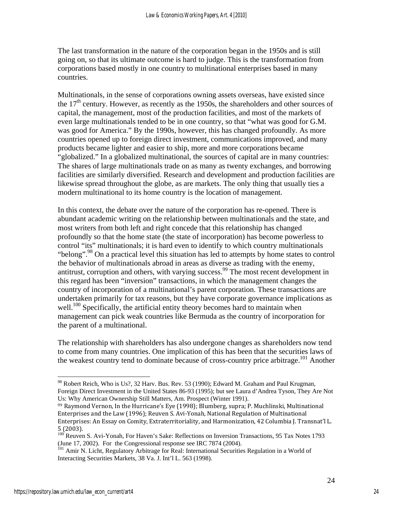The last transformation in the nature of the corporation began in the 1950s and is still going on, so that its ultimate outcome is hard to judge. This is the transformation from corporations based mostly in one country to multinational enterprises based in many countries.

Multinationals, in the sense of corporations owning assets overseas, have existed since the  $17<sup>th</sup>$  century. However, as recently as the 1950s, the shareholders and other sources of capital, the management, most of the production facilities, and most of the markets of even large multinationals tended to be in one country, so that "what was good for G.M. was good for America." By the 1990s, however, this has changed profoundly. As more countries opened up to foreign direct investment, communications improved, and many products became lighter and easier to ship, more and more corporations became "globalized." In a globalized multinational, the sources of capital are in many countries: The shares of large multinationals trade on as many as twenty exchanges, and borrowing facilities are similarly diversified. Research and development and production facilities are likewise spread throughout the globe, as are markets. The only thing that usually ties a modern multinational to its home country is the location of management.

In this context, the debate over the nature of the corporation has re-opened. There is abundant academic writing on the relationship between multinationals and the state, and most writers from both left and right concede that this relationship has changed profoundly so that the home state (the state of incorporation) has become powerless to control "its" multinationals; it is hard even to identify to which country multinationals "belong".<sup>98</sup> On a practical level this situation has led to attempts by home states to control the behavior of multinationals abroad in areas as diverse as trading with the enemy, antitrust, corruption and others, with varying success.<sup>99</sup> The most recent development in this regard has been "inversion" transactions, in which the management changes the country of incorporation of a multinational's parent corporation. These transactions are undertaken primarily for tax reasons, but they have corporate governance implications as well.<sup>100</sup> Specifically, the artificial entity theory becomes hard to maintain when management can pick weak countries like Bermuda as the country of incorporation for the parent of a multinational.

The relationship with shareholders has also undergone changes as shareholders now tend to come from many countries. One implication of this has been that the securities laws of the weakest country tend to dominate because of cross-country price arbitrage.<sup>101</sup> Another

 $99$  Raymond Vernon, In the Hurricane's Eye (1998); Blumberg, supra; P. Muchlinski, Multinational Enterprises and the Law (1996); Reuven S. Avi‐Yonah, National Regulation of Multinational Enterprises: An Essay on Comity, Extraterritoriality, and Harmonization, 42 Columbia J. Transnat'l L. 5 (2003).

<sup>98</sup> Robert Reich, Who is Us?, 32 Harv. Bus. Rev. 53 (1990); Edward M. Graham and Paul Krugman, Foreign Direct Investment in the United States 86-93 (1995); but see Laura d'Andrea Tyson, They Are Not Us: Why American Ownership Still Matters, Am. Prospect (Winter 1991).

 $100$  Reuven S. Avi-Yonah, For Haven's Sake: Reflections on Inversion Transactions, 95 Tax Notes 1793 (June 17, 2002). For the Congressional response see IRC 7874 (2004).

<sup>&</sup>lt;sup>101</sup> Amir N. Licht, Regulatory Arbitrage for Real: International Securities Regulation in a World of Interacting Securities Markets, 38 Va. J. Int'l L. 563 (1998).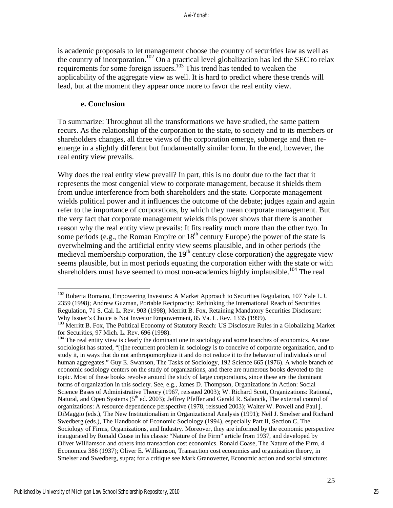is academic proposals to let management choose the country of securities law as well as the country of incorporation.<sup>102</sup> On a practical level globalization has led the SEC to relax requirements for some foreign issuers.103 This trend has tended to weaken the applicability of the aggregate view as well. It is hard to predict where these trends will lead, but at the moment they appear once more to favor the real entity view.

#### **e. Conclusion**

To summarize: Throughout all the transformations we have studied, the same pattern recurs. As the relationship of the corporation to the state, to society and to its members or shareholders changes, all three views of the corporation emerge, submerge and then reemerge in a slightly different but fundamentally similar form. In the end, however, the real entity view prevails.

Why does the real entity view prevail? In part, this is no doubt due to the fact that it represents the most congenial view to corporate management, because it shields them from undue interference from both shareholders and the state. Corporate management wields political power and it influences the outcome of the debate; judges again and again refer to the importance of corporations, by which they mean corporate management. But the very fact that corporate management wields this power shows that there is another reason why the real entity view prevails: It fits reality much more than the other two. In some periods (e.g., the Roman Empire or  $18<sup>th</sup>$  century Europe) the power of the state is overwhelming and the artificial entity view seems plausible, and in other periods (the medieval membership corporation, the  $19<sup>th</sup>$  century close corporation) the aggregate view seems plausible, but in most periods equating the corporation either with the state or with shareholders must have seemed to most non-academics highly implausible.<sup>104</sup> The real

<sup>&</sup>lt;sup>102</sup> Roberta Romano, Empowering Investors: A Market Approach to Securities Regulation, 107 Yale L.J. 2359 (1998); Andrew Guzman, Portable Reciprocity: Rethinking the International Reach of Securities Regulation, 71 S. Cal. L. Rev. 903 (1998); Merritt B. Fox, Retaining Mandatory Securities Disclosure: Why Issuer's Choice is Not Investor Empowerment, 85 Va. L. Rev. 1335 (1999).

<sup>&</sup>lt;sup>103</sup> Merritt B. Fox, The Political Economy of Statutory Reach: US Disclosure Rules in a Globalizing Market for Securities, 97 Mich. L. Rev. 696 (1998).

<sup>&</sup>lt;sup>104</sup> The real entity view is clearly the dominant one in sociology and some branches of economics. As one sociologist has stated, "[t]he recurrent problem in sociology is to conceive of corporate organization, and to study it, in ways that do not anthropomorphize it and do not reduce it to the behavior of individuals or of human aggregates." Guy E. Swanson, The Tasks of Sociology, 192 Science 665 (1976). A whole branch of economic sociology centers on the study of organizations, and there are numerous books devoted to the topic. Most of these books revolve around the study of large corporations, since these are the dominant forms of organization in this society. See, e.g., James D. Thompson, Organizations in Action: Social Science Bases of Administrative Theory (1967, reissued 2003); W. Richard Scott, Organizations: Rational, Natural, and Open Systems (5<sup>th</sup> ed. 2003); Jeffrey Pfeffer and Gerald R. Salancik, The external control of organizations: A resource dependence perspective (1978, reissued 2003); Walter W. Powell and Paul j. DiMaggio (eds.), The New Institutionalism in Organizational Analysis (1991); Neil J. Smelser and Richard Swedberg (eds.), The Handbook of Economic Sociology (1994), especially Part II, Section C, The Sociology of Firms, Organizations, and Industry. Moreover, they are informed by the economic perspective inaugurated by Ronald Coase in his classic "Nature of the Firm" article from 1937, and developed by Oliver Williamson and others into transaction cost economics. Ronald Coase, The Nature of the Firm, 4 Economica 386 (1937); Oliver E. Williamson, Transaction cost economics and organization theory, in Smelser and Swedberg, supra; for a critique see Mark Granovetter, Economic action and social structure: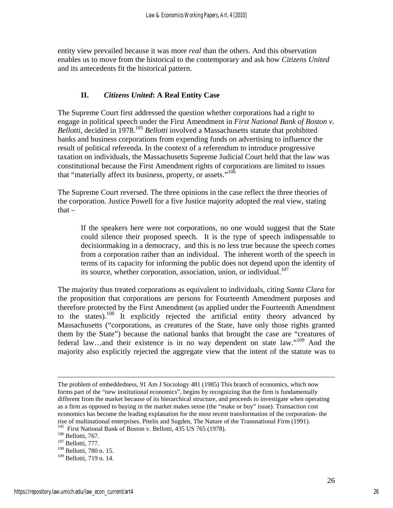entity view prevailed because it was more *real* than the others. And this observation enables us to move from the historical to the contemporary and ask how *Citizens United* and its antecedents fit the historical pattern.

## **II.** *Citizens United***: A Real Entity Case**

The Supreme Court first addressed the question whether corporations had a right to engage in political speech under the First Amendment in *First National Bank of Boston v. Bellotti*, decided in 1978.105 *Bellotti* involved a Massachusetts statute that prohibited banks and business corporations from expending funds on advertising to influence the result of political referenda. In the context of a referendum to introduce progressive taxation on individuals, the Massachusetts Supreme Judicial Court held that the law was constitutional because the First Amendment rights of corporations are limited to issues that "materially affect its business, property, or assets."<sup>106</sup>

The Supreme Court reversed. The three opinions in the case reflect the three theories of the corporation. Justice Powell for a five Justice majority adopted the real view, stating  $that -$ 

If the speakers here were not corporations, no one would suggest that the State could silence their proposed speech. It is the type of speech indispensable to decisionmaking in a democracy, and this is no less true because the speech comes from a corporation rather than an individual. The inherent worth of the speech in terms of its capacity for informing the public does not depend upon the identity of its source, whether corporation, association, union, or individual.<sup>107</sup>

The majority thus treated corporations as equivalent to individuals, citing *Santa Clara* for the proposition that corporations are persons for Fourteenth Amendment purposes and therefore protected by the First Amendment (as applied under the Fourteenth Amendment to the states).108 It explicitly rejected the artificial entity theory advanced by Massachusetts ("corporations, as creatures of the State, have only those rights granted them by the State") because the national banks that brought the case are "creatures of federal law…and their existence is in no way dependent on state law."109 And the majority also explicitly rejected the aggregate view that the intent of the statute was to

<u> 2002 - Andrea San Andrea San Andrea San Andrea San Andrea San Andrea San Andrea San Andrea San Andrea San An</u>

The problem of embeddedness, 91 Am J Sociology 481 (1985) This branch of economics, which now forms part of the "new institutional economics", begins by recognizing that the firm is fundamentally different from the market because of its hierarchical structure, and proceeds to investigate when operating as a firm as opposed to buying in the market makes sense (the "make or buy" issue). Transaction cost economics has become the leading explanation for the most recent transformation of the corporation- the rise of multinational enterprises. Pitelis and Sugden, The Nature of the Transnational Firm (1991).<br><sup>105</sup> First National Bank of Boston v. Bellotti, 435 US 765 (1978).<br><sup>106</sup> Bellotti, 767.<br><sup>107</sup> Bellotti, 777.<br><sup>107</sup> Bellot

<sup>109</sup> Bellotti, 719 n. 14.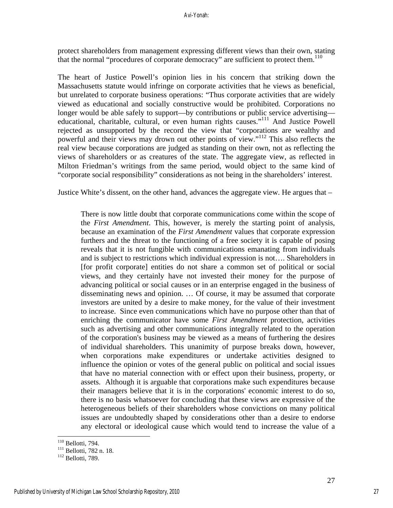protect shareholders from management expressing different views than their own, stating that the normal "procedures of corporate democracy" are sufficient to protect them.<sup>110</sup>

The heart of Justice Powell's opinion lies in his concern that striking down the Massachusetts statute would infringe on corporate activities that he views as beneficial, but unrelated to corporate business operations: "Thus corporate activities that are widely viewed as educational and socially constructive would be prohibited. Corporations no longer would be able safely to support—by contributions or public service advertising educational, charitable, cultural, or even human rights causes."111 And Justice Powell rejected as unsupported by the record the view that "corporations are wealthy and powerful and their views may drown out other points of view."112 This also reflects the real view because corporations are judged as standing on their own, not as reflecting the views of shareholders or as creatures of the state. The aggregate view, as reflected in Milton Friedman's writings from the same period, would object to the same kind of "corporate social responsibility" considerations as not being in the shareholders' interest.

Justice White's dissent, on the other hand, advances the aggregate view. He argues that –

There is now little doubt that corporate communications come within the scope of the *First Amendment*. This, however, is merely the starting point of analysis, because an examination of the *First Amendment* values that corporate expression furthers and the threat to the functioning of a free society it is capable of posing reveals that it is not fungible with communications emanating from individuals and is subject to restrictions which individual expression is not…. Shareholders in [for profit corporate] entities do not share a common set of political or social views, and they certainly have not invested their money for the purpose of advancing political or social causes or in an enterprise engaged in the business of disseminating news and opinion. … Of course, it may be assumed that corporate investors are united by a desire to make money, for the value of their investment to increase. Since even communications which have no purpose other than that of enriching the communicator have some *First Amendment* protection, activities such as advertising and other communications integrally related to the operation of the corporation's business may be viewed as a means of furthering the desires of individual shareholders. This unanimity of purpose breaks down, however, when corporations make expenditures or undertake activities designed to influence the opinion or votes of the general public on political and social issues that have no material connection with or effect upon their business, property, or assets. Although it is arguable that corporations make such expenditures because their managers believe that it is in the corporations' economic interest to do so, there is no basis whatsoever for concluding that these views are expressive of the heterogeneous beliefs of their shareholders whose convictions on many political issues are undoubtedly shaped by considerations other than a desire to endorse any electoral or ideological cause which would tend to increase the value of a

 $110$  Bellotti, 794.

<sup>&</sup>lt;sup>111</sup> Bellotti, 782 n. 18.<br><sup>112</sup> Bellotti, 789.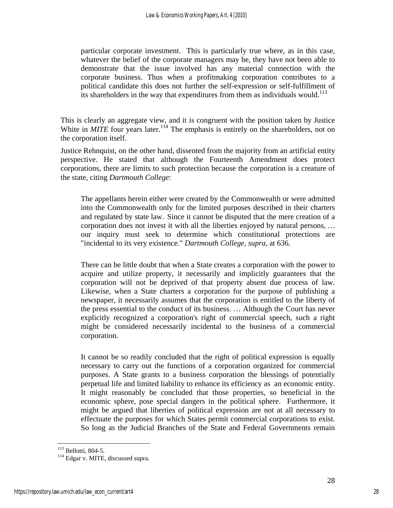particular corporate investment. This is particularly true where, as in this case, whatever the belief of the corporate managers may be, they have not been able to demonstrate that the issue involved has any material connection with the corporate business. Thus when a profitmaking corporation contributes to a political candidate this does not further the self-expression or self-fulfillment of its shareholders in the way that expenditures from them as individuals would.<sup>113</sup>

This is clearly an aggregate view, and it is congruent with the position taken by Justice White in *MITE* four years later.<sup>114</sup> The emphasis is entirely on the shareholders, not on the corporation itself.

Justice Rehnquist, on the other hand, dissented from the majority from an artificial entity perspective. He stated that although the Fourteenth Amendment does protect corporations, there are limits to such protection because the corporation is a creature of the state, citing *Dartmouth College*:

The appellants herein either were created by the Commonwealth or were admitted into the Commonwealth only for the limited purposes described in their charters and regulated by state law. Since it cannot be disputed that the mere creation of a corporation does not invest it with all the liberties enjoyed by natural persons, *…*  our inquiry must seek to determine which constitutional protections are "incidental to its very existence." *Dartmouth College, supra*, at 636.

There can be little doubt that when a State creates a corporation with the power to acquire and utilize property, it necessarily and implicitly guarantees that the corporation will not be deprived of that property absent due process of law. Likewise, when a State charters a corporation for the purpose of publishing a newspaper, it necessarily assumes that the corporation is entitled to the liberty of the press essential to the conduct of its business. … Although the Court has never explicitly recognized a corporation's right of commercial speech, such a right might be considered necessarily incidental to the business of a commercial corporation.

It cannot be so readily concluded that the right of political expression is equally necessary to carry out the functions of a corporation organized for commercial purposes. A State grants to a business corporation the blessings of potentially perpetual life and limited liability to enhance its efficiency as an economic entity. It might reasonably be concluded that those properties, so beneficial in the economic sphere, pose special dangers in the political sphere. Furthermore, it might be argued that liberties of political expression are not at all necessary to effectuate the purposes for which States permit commercial corporations to exist. So long as the Judicial Branches of the State and Federal Governments remain

 $113$  Bellotti, 804-5.<br> $114$  Edgar v. MITE, discussed supra.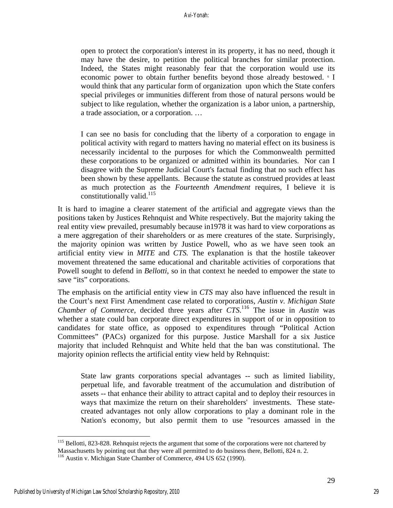open to protect the corporation's interest in its property, it has no need, though it may have the desire, to petition the political branches for similar protection. Indeed, the States might reasonably fear that the corporation would use its economic power to obtain further benefits beyond those already bestowed. <sup>6</sup> I would think that any particular form of organization upon which the State confers special privileges or immunities different from those of natural persons would be subject to like regulation, whether the organization is a labor union, a partnership, a trade association, or a corporation. …

I can see no basis for concluding that the liberty of a corporation to engage in political activity with regard to matters having no material effect on its business is necessarily incidental to the purposes for which the Commonwealth permitted these corporations to be organized or admitted within its boundaries. Nor can I disagree with the Supreme Judicial Court's factual finding that no such effect has been shown by these appellants. Because the statute as construed provides at least as much protection as the *Fourteenth Amendment* requires, I believe it is constitutionally valid. $^{115}$ 

It is hard to imagine a clearer statement of the artificial and aggregate views than the positions taken by Justices Rehnquist and White respectively. But the majority taking the real entity view prevailed, presumably because in1978 it was hard to view corporations as a mere aggregation of their shareholders or as mere creatures of the state. Surprisingly, the majority opinion was written by Justice Powell, who as we have seen took an artificial entity view in *MITE* and *CTS.* The explanation is that the hostile takeover movement threatened the same educational and charitable activities of corporations that Powell sought to defend in *Bellotti*, so in that context he needed to empower the state to save "its" corporations.

The emphasis on the artificial entity view in *CTS* may also have influenced the result in the Court's next First Amendment case related to corporations, *Austin v. Michigan State Chamber of Commerce*, decided three years after *CTS*. 116 The issue in *Austin* was whether a state could ban corporate direct expenditures in support of or in opposition to candidates for state office, as opposed to expenditures through "Political Action Committees" (PACs) organized for this purpose. Justice Marshall for a six Justice majority that included Rehnquist and White held that the ban was constitutional. The majority opinion reflects the artificial entity view held by Rehnquist:

State law grants corporations special advantages -- such as limited liability, perpetual life, and favorable treatment of the accumulation and distribution of assets -- that enhance their ability to attract capital and to deploy their resources in ways that maximize the return on their shareholders' investments. These statecreated advantages not only allow corporations to play a dominant role in the Nation's economy, but also permit them to use "resources amassed in the

<sup>&</sup>lt;sup>115</sup> Bellotti, 823-828. Rehnquist rejects the argument that some of the corporations were not chartered by Massachusetts by pointing out that they were all permitted to do business there, Bellotti, 824 n. 2.

<sup>116</sup> Austin v. Michigan State Chamber of Commerce, 494 US 652 (1990).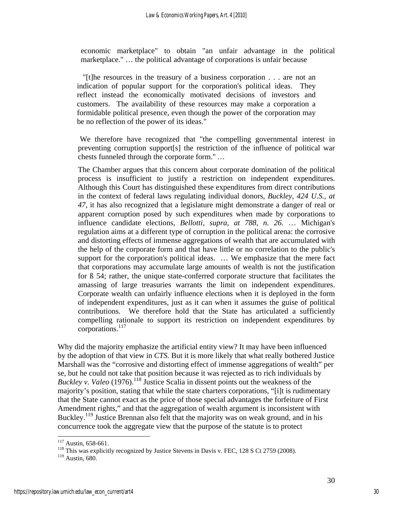economic marketplace" to obtain "an unfair advantage in the political marketplace." … the political advantage of corporations is unfair because

 "[t]he resources in the treasury of a business corporation . . . are not an indication of popular support for the corporation's political ideas. They reflect instead the economically motivated decisions of investors and customers. The availability of these resources may make a corporation a formidable political presence, even though the power of the corporation may be no reflection of the power of its ideas."

 We therefore have recognized that "the compelling governmental interest in preventing corruption support[s] the restriction of the influence of political war chests funneled through the corporate form." *…*

The Chamber argues that this concern about corporate domination of the political process is insufficient to justify a restriction on independent expenditures. Although this Court has distinguished these expenditures from direct contributions in the context of federal laws regulating individual donors, *Buckley, 424 U.S., at 47*, it has also recognized that a legislature might demonstrate a danger of real or apparent corruption posed by such expenditures when made by corporations to influence candidate elections, *Bellotti, supra, at 788, n. 26*. … Michigan's regulation aims at a different type of corruption in the political arena: the corrosive and distorting effects of immense aggregations of wealth that are accumulated with the help of the corporate form and that have little or no correlation to the public's support for the corporation's political ideas. … We emphasize that the mere fact that corporations may accumulate large amounts of wealth is not the justification for ß 54; rather, the unique state-conferred corporate structure that facilitates the amassing of large treasuries warrants the limit on independent expenditures. Corporate wealth can unfairly influence elections when it is deployed in the form of independent expenditures, just as it can when it assumes the guise of political contributions. We therefore hold that the State has articulated a sufficiently compelling rationale to support its restriction on independent expenditures by corporations.117

Why did the majority emphasize the artificial entity view? It may have been influenced by the adoption of that view in *CTS.* But it is more likely that what really bothered Justice Marshall was the "corrosive and distorting effect of immense aggregations of wealth" per se, but he could not take that position because it was rejected as to rich individuals by *Buckley v. Valeo* (1976).<sup>118</sup> Justice Scalia in dissent points out the weakness of the majority's position, stating that while the state charters corporations, "[i]t is rudimentary that the State cannot exact as the price of those special advantages the forfeiture of First Amendment rights," and that the aggregation of wealth argument is inconsistent with Buckley.<sup>119</sup> Justice Brennan also felt that the majority was on weak ground, and in his concurrence took the aggregate view that the purpose of the statute is to protect

<sup>&</sup>lt;sup>117</sup> Austin, 658-661.<br><sup>118</sup> This was explicitly recognized by Justice Stevens in Davis v. FEC, 128 S Ct 2759 (2008).

<sup>119</sup> Austin, 680.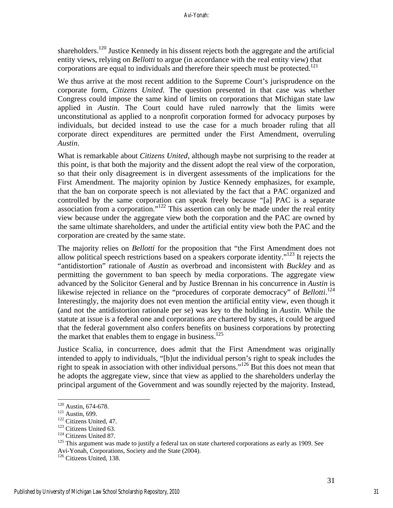shareholders.<sup>120</sup> Justice Kennedy in his dissent rejects both the aggregate and the artificial entity views, relying on *Bellotti* to argue (in accordance with the real entity view) that corporations are equal to individuals and therefore their speech must be protected.<sup>121</sup>

We thus arrive at the most recent addition to the Supreme Court's jurisprudence on the corporate form, *Citizens United*. The question presented in that case was whether Congress could impose the same kind of limits on corporations that Michigan state law applied in *Austin*. The Court could have ruled narrowly that the limits were unconstitutional as applied to a nonprofit corporation formed for advocacy purposes by individuals, but decided instead to use the case for a much broader ruling that all corporate direct expenditures are permitted under the First Amendment, overruling *Austin*.

What is remarkable about *Citizens United*, although maybe not surprising to the reader at this point, is that both the majority and the dissent adopt the real view of the corporation, so that their only disagreement is in divergent assessments of the implications for the First Amendment. The majority opinion by Justice Kennedy emphasizes, for example, that the ban on corporate speech is not alleviated by the fact that a PAC organized and controlled by the same corporation can speak freely because "[a] PAC is a separate association from a corporation."<sup>122</sup> This assertion can only be made under the real entity view because under the aggregate view both the corporation and the PAC are owned by the same ultimate shareholders, and under the artificial entity view both the PAC and the corporation are created by the same state.

The majority relies on *Bellotti* for the proposition that "the First Amendment does not allow political speech restrictions based on a speakers corporate identity."<sup>123</sup> It rejects the "antidistortion" rationale of *Austin* as overbroad and inconsistent with *Buckley* and as permitting the government to ban speech by media corporations. The aggregate view advanced by the Solicitor General and by Justice Brennan in his concurrence in *Austin* is likewise rejected in reliance on the "procedures of corporate democracy" of *Bellotti*. 124 Interestingly, the majority does not even mention the artificial entity view, even though it (and not the antidistortion rationale per se) was key to the holding in *Austin*. While the statute at issue is a federal one and corporations are chartered by states, it could be argued that the federal government also confers benefits on business corporations by protecting the market that enables them to engage in business.<sup>125</sup>

Justice Scalia, in concurrence, does admit that the First Amendment was originally intended to apply to individuals, "[b]ut the individual person's right to speak includes the right to speak in association with other individual persons."<sup>126</sup> But this does not mean that he adopts the aggregate view, since that view as applied to the shareholders underlay the principal argument of the Government and was soundly rejected by the majority. Instead,

<sup>&</sup>lt;sup>120</sup> Austin, 674-678.<br><sup>121</sup> Austin, 699.<br><sup>122</sup> Citizens United, 47.<br><sup>123</sup> Citizens United 63.<br><sup>124</sup> Citizens United 87.<br><sup>125</sup> This argument was made to justify a federal tax on state chartered corporations as early as 19 Avi-Yonah, Corporations, Society and the State (2004). 126 Citizens United, 138.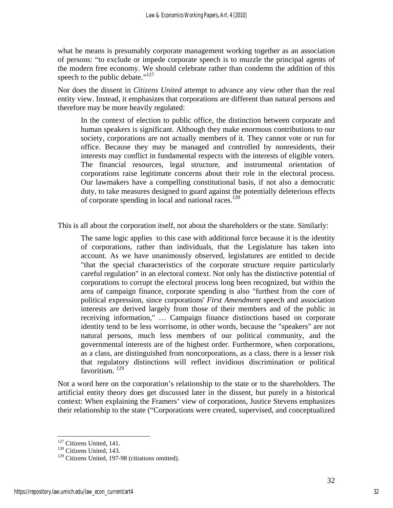what he means is presumably corporate management working together as an association of persons: "to exclude or impede corporate speech is to muzzle the principal agents of the modern free economy. We should celebrate rather than condemn the addition of this speech to the public debate." $127$ 

Nor does the dissent in *Citizens United* attempt to advance any view other than the real entity view. Instead, it emphasizes that corporations are different than natural persons and therefore may be more heavily regulated:

In the context of election to public office, the distinction between corporate and human speakers is significant. Although they make enormous contributions to our society, corporations are not actually members of it. They cannot vote or run for office. Because they may be managed and controlled by nonresidents, their interests may conflict in fundamental respects with the interests of eligible voters. The financial resources, legal structure, and instrumental orientation of corporations raise legitimate concerns about their role in the electoral process. Our lawmakers have a compelling constitutional basis, if not also a democratic duty, to take measures designed to guard against the potentially deleterious effects of corporate spending in local and national races.<sup>128</sup>

This is all about the corporation itself, not about the shareholders or the state. Similarly:

The same logic applies to this case with additional force because it is the identity of corporations, rather than individuals, that the Legislature has taken into account. As we have unanimously observed, legislatures are entitled to decide "that the special characteristics of the corporate structure require particularly careful regulation" in an electoral context. Not only has the distinctive potential of corporations to corrupt the electoral process long been recognized, but within the area of campaign finance, corporate spending is also "furthest from the core of political expression, since corporations' *First Amendment* speech and association interests are derived largely from those of their members and of the public in receiving information," *…* Campaign finance distinctions based on corporate identity tend to be less worrisome, in other words, because the "speakers" are not natural persons, much less members of our political community, and the governmental interests are of the highest order. Furthermore, when corporations, as a class, are distinguished from noncorporations, as a class, there is a lesser risk that regulatory distinctions will reflect invidious discrimination or political favoritism.<sup>129</sup>

Not a word here on the corporation's relationship to the state or to the shareholders. The artificial entity theory does get discussed later in the dissent, but purely in a historical context: When explaining the Framers' view of corporations, Justice Stevens emphasizes their relationship to the state ("Corporations were created, supervised, and conceptualized

<sup>&</sup>lt;sup>127</sup> Citizens United, 141.

<sup>&</sup>lt;sup>128</sup> Citizens United, 143.

<sup>&</sup>lt;sup>129</sup> Citizens United, 197-98 (citiations omitted).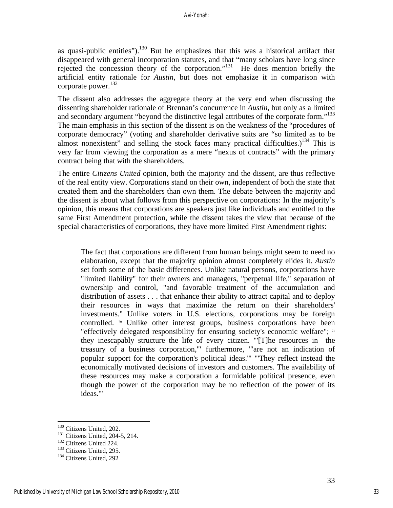as quasi-public entities").<sup>130</sup> But he emphasizes that this was a historical artifact that disappeared with general incorporation statutes, and that "many scholars have long since rejected the concession theory of the corporation."131 He does mention briefly the artificial entity rationale for *Austin*, but does not emphasize it in comparison with corporate power.<sup>132</sup>

The dissent also addresses the aggregate theory at the very end when discussing the dissenting shareholder rationale of Brennan's concurrence in *Austin*, but only as a limited and secondary argument "beyond the distinctive legal attributes of the corporate form."<sup>133</sup> The main emphasis in this section of the dissent is on the weakness of the "procedures of corporate democracy" (voting and shareholder derivative suits are "so limited as to be almost nonexistent" and selling the stock faces many practical difficulties.)<sup>134</sup> This is very far from viewing the corporation as a mere "nexus of contracts" with the primary contract being that with the shareholders.

The entire *Citizens United* opinion, both the majority and the dissent, are thus reflective of the real entity view. Corporations stand on their own, independent of both the state that created them and the shareholders than own them. The debate between the majority and the dissent is about what follows from this perspective on corporations: In the majority's opinion, this means that corporations are speakers just like individuals and entitled to the same First Amendment protection, while the dissent takes the view that because of the special characteristics of corporations, they have more limited First Amendment rights:

The fact that corporations are different from human beings might seem to need no elaboration, except that the majority opinion almost completely elides it. *Austin* set forth some of the basic differences. Unlike natural persons, corporations have "limited liability" for their owners and managers, "perpetual life," separation of ownership and control, "and favorable treatment of the accumulation and distribution of assets . . . that enhance their ability to attract capital and to deploy their resources in ways that maximize the return on their shareholders' investments." Unlike voters in U.S. elections, corporations may be foreign controlled.  $\sqrt[n]{\ }$  Unlike other interest groups, business corporations have been "effectively delegated responsibility for ensuring society's economic welfare";  $\pi$ they inescapably structure the life of every citizen. "'[T]he resources in the treasury of a business corporation,'" furthermore, "'are not an indication of popular support for the corporation's political ideas.'" "'They reflect instead the economically motivated decisions of investors and customers. The availability of these resources may make a corporation a formidable political presence, even though the power of the corporation may be no reflection of the power of its ideas.'"

<sup>&</sup>lt;sup>130</sup> Citizens United, 202.<br><sup>131</sup> Citizens United, 204-5, 214.<br><sup>132</sup> Citizens United, 295.<br><sup>134</sup> Citizens United, 292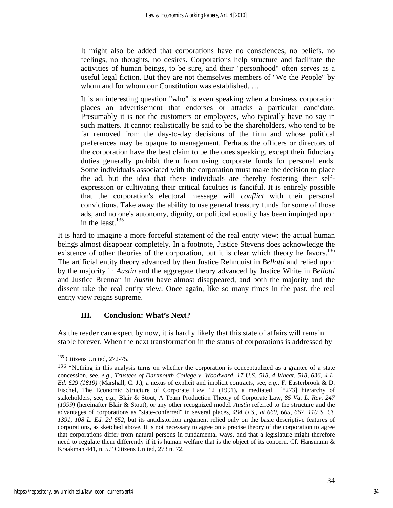It might also be added that corporations have no consciences, no beliefs, no feelings, no thoughts, no desires. Corporations help structure and facilitate the activities of human beings, to be sure, and their "personhood" often serves as a useful legal fiction. But they are not themselves members of "We the People" by whom and for whom our Constitution was established. …

It is an interesting question "who" is even speaking when a business corporation places an advertisement that endorses or attacks a particular candidate. Presumably it is not the customers or employees, who typically have no say in such matters. It cannot realistically be said to be the shareholders, who tend to be far removed from the day-to-day decisions of the firm and whose political preferences may be opaque to management. Perhaps the officers or directors of the corporation have the best claim to be the ones speaking, except their fiduciary duties generally prohibit them from using corporate funds for personal ends. Some individuals associated with the corporation must make the decision to place the ad, but the idea that these individuals are thereby fostering their selfexpression or cultivating their critical faculties is fanciful. It is entirely possible that the corporation's electoral message will *conflict* with their personal convictions. Take away the ability to use general treasury funds for some of those ads, and no one's autonomy, dignity, or political equality has been impinged upon in the least  $^{135}$ 

It is hard to imagine a more forceful statement of the real entity view: the actual human beings almost disappear completely. In a footnote, Justice Stevens does acknowledge the existence of other theories of the corporation, but it is clear which theory he favors.<sup>136</sup> The artificial entity theory advanced by then Justice Rehnquist in *Bellotti* and relied upon by the majority in *Austin* and the aggregate theory advanced by Justice White in *Bellotti* and Justice Brennan in *Austin* have almost disappeared, and both the majority and the dissent take the real entity view. Once again, like so many times in the past, the real entity view reigns supreme.

#### **III. Conclusion: What's Next?**

As the reader can expect by now, it is hardly likely that this state of affairs will remain stable forever. When the next transformation in the status of corporations is addressed by

<sup>&</sup>lt;sup>135</sup> Citizens United, 272-75.

<sup>136</sup> "Nothing in this analysis turns on whether the corporation is conceptualized as a grantee of a state concession, see, *e.g., Trustees of Dartmouth College v. Woodward, 17 U.S. 518, 4 Wheat. 518, 636, 4 L. Ed. 629 (1819)* (Marshall, C. J.), a nexus of explicit and implicit contracts, see, *e.g.,* F. Easterbrook & D. Fischel, The Economic Structure of Corporate Law 12 (1991), a mediated [\*273] hierarchy of stakeholders, see, *e.g.,* Blair & Stout, A Team Production Theory of Corporate Law, *85 Va. L. Rev. 247 (1999)* (hereinafter Blair & Stout), or any other recognized model. *Austin* referred to the structure and the advantages of corporations as "state-conferred" in several places, *494 U.S., at 660, 665, 667, 110 S. Ct. 1391, 108 L. Ed. 2d 652*, but its antidistortion argument relied only on the basic descriptive features of corporations, as sketched above. It is not necessary to agree on a precise theory of the corporation to agree that corporations differ from natural persons in fundamental ways, and that a legislature might therefore need to regulate them differently if it is human welfare that is the object of its concern. Cf. Hansmann & Kraakman 441, n. 5." Citizens United, 273 n. 72.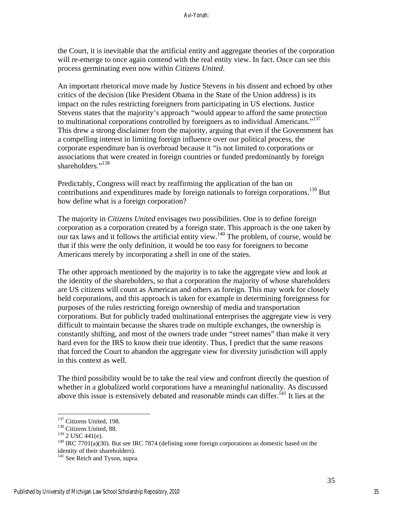the Court, it is inevitable that the artificial entity and aggregate theories of the corporation will re-emerge to once again contend with the real entity view. In fact. Once can see this process germinating even now within *Citizens United*.

An important rhetorical move made by Justice Stevens in his dissent and echoed by other critics of the decision (like President Obama in the State of the Union address) is its impact on the rules restricting foreigners from participating in US elections. Justice Stevens states that the majority's approach "would appear to afford the same protection to multinational corporations controlled by foreigners as to individual Americans."<sup>137</sup> This drew a strong disclaimer from the majority, arguing that even if the Government has a compelling interest in limiting foreign influence over our political process, the corporate expenditure ban is overbroad because it "is not limited to corporations or associations that were created in foreign countries or funded predominantly by foreign shareholders."<sup>138</sup>

Predictably, Congress will react by reaffirming the application of the ban on contributions and expenditures made by foreign nationals to foreign corporations.<sup>139</sup> But how define what is a foreign corporation?

The majority in *Citizens United* envisages two possibilities. One is to define foreign corporation as a corporation created by a foreign state. This approach is the one taken by our tax laws and it follows the artificial entity view.140 The problem, of course, would be that if this were the only definition, it would be too easy for foreigners to become Americans merely by incorporating a shell in one of the states.

The other approach mentioned by the majority is to take the aggregate view and look at the identity of the shareholders, so that a corporation the majority of whose shareholders are US citizens will count as American and others as foreign. This may work for closely held corporations, and this approach is taken for example in determining foreignness for purposes of the rules restricting foreign ownership of media and transportation corporations. But for publicly traded multinational enterprises the aggregate view is very difficult to maintain because the shares trade on multiple exchanges, the ownership is constantly shifting, and most of the owners trade under "street names" than make it very hard even for the IRS to know their true identity. Thus, I predict that the same reasons that forced the Court to abandon the aggregate view for diversity jurisdiction will apply in this context as well.

The third possibility would be to take the real view and confront directly the question of whether in a globalized world corporations have a meaningful nationality. As discussed above this issue is extensively debated and reasonable minds can differ.<sup>141</sup> It lies at the

<sup>&</sup>lt;sup>137</sup> Citizens United, 198.

 $138$  Citizens United, 88.<br> $139$  2 USC 441(e).

 $140$  IRC 7701(a)(30). But see IRC 7874 (defining some foreign corporations as domestic based on the identity of their shareholders).

<sup>&</sup>lt;sup>141</sup> See Reich and Tyson, supra.